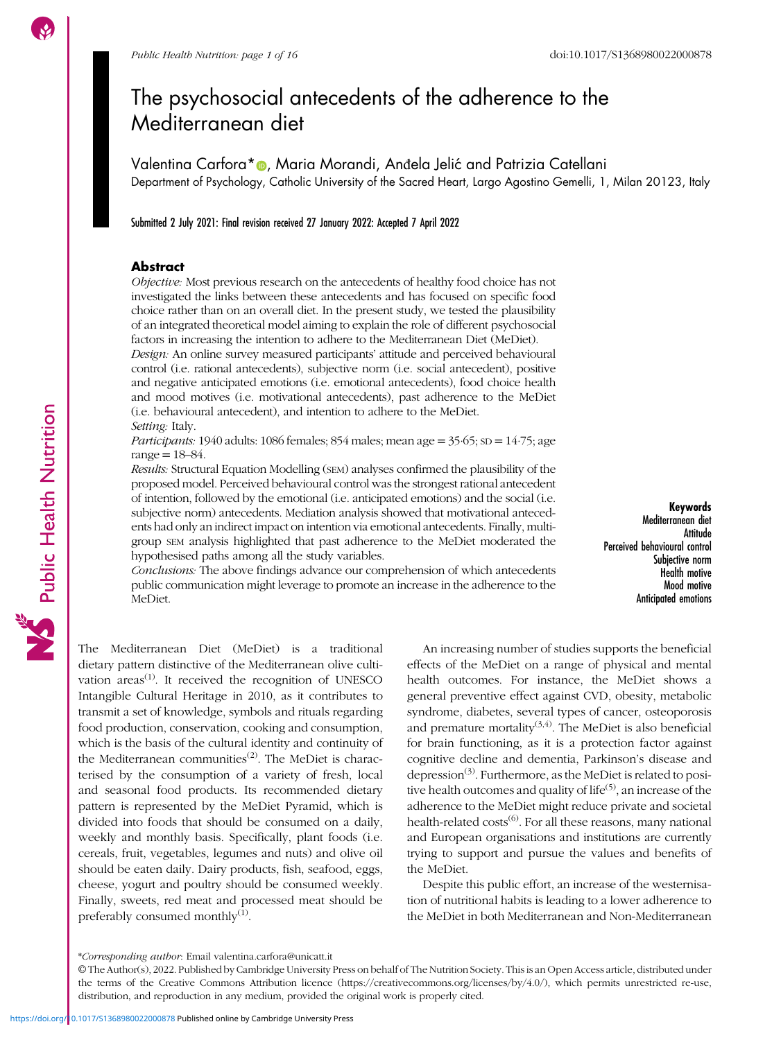# The psychosocial antecedents of the adherence to the Mediterranean diet

Valentina Carfora\* **D**, Maria Morandi, Anđela Jelić and Patrizia Catellani Department of Psychology, Catholic University of the Sacred Heart, Largo Agostino Gemelli, 1, Milan 20123, Italy

Submitted 2 July 2021: Final revision received 27 January 2022: Accepted 7 April 2022

### **Abstract**

Objective: Most previous research on the antecedents of healthy food choice has not investigated the links between these antecedents and has focused on specific food choice rather than on an overall diet. In the present study, we tested the plausibility of an integrated theoretical model aiming to explain the role of different psychosocial factors in increasing the intention to adhere to the Mediterranean Diet (MeDiet).

Design: An online survey measured participants' attitude and perceived behavioural control (i.e. rational antecedents), subjective norm (i.e. social antecedent), positive and negative anticipated emotions (i.e. emotional antecedents), food choice health and mood motives (i.e. motivational antecedents), past adherence to the MeDiet (i.e. behavioural antecedent), and intention to adhere to the MeDiet. Setting: Italy.

Participants: 1940 adults: 1086 females; 854 males; mean age =  $35.65$ ;  $SD = 14.75$ ; age  $range = 18 - 84.$ 

Results: Structural Equation Modelling (SEM) analyses confirmed the plausibility of the proposed model. Perceived behavioural control was the strongest rational antecedent of intention, followed by the emotional (i.e. anticipated emotions) and the social (i.e. subjective norm) antecedents. Mediation analysis showed that motivational antecedents had only an indirect impact on intention via emotional antecedents. Finally, multigroup SEM analysis highlighted that past adherence to the MeDiet moderated the hypothesised paths among all the study variables.

Conclusions: The above findings advance our comprehension of which antecedents public communication might leverage to promote an increase in the adherence to the MeDiet.

Keywords Mediterranean diet Attitude Perceived behavioural control Subjective norm Health motive Mood motive Anticipated emotions

The Mediterranean Diet (MeDiet) is a traditional dietary pattern distinctive of the Mediterranean olive cultivation areas<sup> $(1)$  $(1)$ </sup>. It received the recognition of UNESCO Intangible Cultural Heritage in 2010, as it contributes to transmit a set of knowledge, symbols and rituals regarding food production, conservation, cooking and consumption, which is the basis of the cultural identity and continuity of the Mediterranean communities<sup>([2](#page-13-0))</sup>. The MeDiet is characterised by the consumption of a variety of fresh, local and seasonal food products. Its recommended dietary pattern is represented by the MeDiet Pyramid, which is divided into foods that should be consumed on a daily, weekly and monthly basis. Specifically, plant foods (i.e. cereals, fruit, vegetables, legumes and nuts) and olive oil should be eaten daily. Dairy products, fish, seafood, eggs, cheese, yogurt and poultry should be consumed weekly. Finally, sweets, red meat and processed meat should be preferably consumed monthly $(1)$  $(1)$ .

An increasing number of studies supports the beneficial effects of the MeDiet on a range of physical and mental health outcomes. For instance, the MeDiet shows a general preventive effect against CVD, obesity, metabolic syndrome, diabetes, several types of cancer, osteoporosis and premature mortality<sup> $(3,4)$ </sup>. The MeDiet is also beneficial for brain functioning, as it is a protection factor against cognitive decline and dementia, Parkinson's disease and depression<sup>([3\)](#page-13-0)</sup>. Furthermore, as the MeDiet is related to posi-tive health outcomes and quality of life<sup>[\(5\)](#page-13-0)</sup>, an increase of the adherence to the MeDiet might reduce private and societal health-related  $costs^{(6)}$  $costs^{(6)}$  $costs^{(6)}$ . For all these reasons, many national and European organisations and institutions are currently trying to support and pursue the values and benefits of the MeDiet.

Despite this public effort, an increase of the westernisation of nutritional habits is leading to a lower adherence to the MeDiet in both Mediterranean and Non-Mediterranean

<sup>\*</sup>Corresponding author: Email [valentina.carfora@unicatt.it](mailto:valentina.carfora@unicatt.it)

<sup>©</sup> The Author(s), 2022. Published by Cambridge University Press on behalf of The Nutrition Society. This is an Open Access article, distributed under the terms of the Creative Commons Attribution licence [\(https://creativecommons.org/licenses/by/4.0/\)](https://creativecommons.org/licenses/by/4.0/), which permits unrestricted re-use, distribution, and reproduction in any medium, provided the original work is properly cited.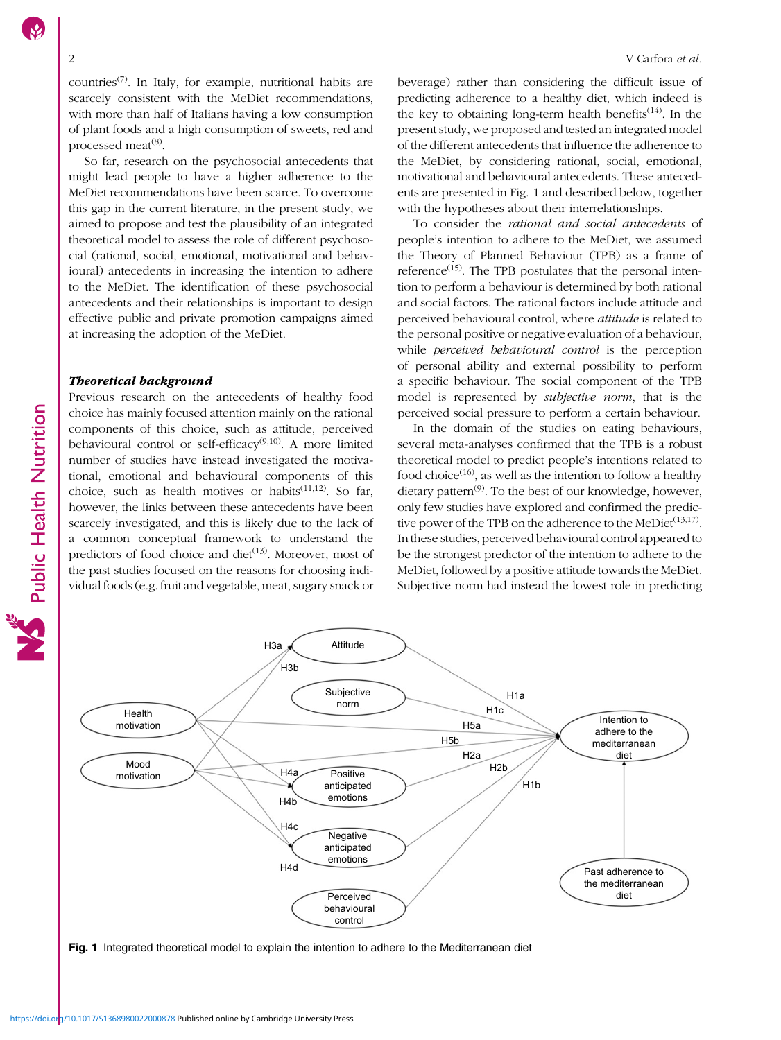countries<sup> $(7)$  $(7)$ </sup>. In Italy, for example, nutritional habits are scarcely consistent with the MeDiet recommendations, with more than half of Italians having a low consumption of plant foods and a high consumption of sweets, red and processed meat<sup>([8](#page-14-0))</sup>.

So far, research on the psychosocial antecedents that might lead people to have a higher adherence to the MeDiet recommendations have been scarce. To overcome this gap in the current literature, in the present study, we aimed to propose and test the plausibility of an integrated theoretical model to assess the role of different psychosocial (rational, social, emotional, motivational and behavioural) antecedents in increasing the intention to adhere to the MeDiet. The identification of these psychosocial antecedents and their relationships is important to design effective public and private promotion campaigns aimed at increasing the adoption of the MeDiet.

### Theoretical background

Previous research on the antecedents of healthy food choice has mainly focused attention mainly on the rational components of this choice, such as attitude, perceived behavioural control or self-efficacy<sup> $(9,10)$ </sup>. A more limited number of studies have instead investigated the motivational, emotional and behavioural components of this choice, such as health motives or habits<sup> $(11,12)$  $(11,12)$  $(11,12)$  $(11,12)$  $(11,12)$ </sup>. So far, however, the links between these antecedents have been scarcely investigated, and this is likely due to the lack of a common conceptual framework to understand the predictors of food choice and diet $^{(13)}$  $^{(13)}$  $^{(13)}$ . Moreover, most of the past studies focused on the reasons for choosing individual foods (e.g. fruit and vegetable, meat, sugary snack or beverage) rather than considering the difficult issue of predicting adherence to a healthy diet, which indeed is the key to obtaining long-term health benefits<sup> $(14)$  $(14)$ </sup>. In the present study, we proposed and tested an integrated model of the different antecedents that influence the adherence to the MeDiet, by considering rational, social, emotional, motivational and behavioural antecedents. These antecedents are presented in Fig. 1 and described below, together with the hypotheses about their interrelationships.

To consider the rational and social antecedents of people's intention to adhere to the MeDiet, we assumed the Theory of Planned Behaviour (TPB) as a frame of reference<sup> $(15)$  $(15)$ </sup>. The TPB postulates that the personal intention to perform a behaviour is determined by both rational and social factors. The rational factors include attitude and perceived behavioural control, where *attitude* is related to the personal positive or negative evaluation of a behaviour, while *perceived behavioural control* is the perception of personal ability and external possibility to perform a specific behaviour. The social component of the TPB model is represented by subjective norm, that is the perceived social pressure to perform a certain behaviour.

In the domain of the studies on eating behaviours, several meta-analyses confirmed that the TPB is a robust theoretical model to predict people's intentions related to food choice<sup>([16\)](#page-14-0)</sup>, as well as the intention to follow a healthy dietary pattern<sup> $(9)$  $(9)$  $(9)$ </sup>. To the best of our knowledge, however, only few studies have explored and confirmed the predictive power of the TPB on the adherence to the MeDiet<sup> $(13,17)$  $(13,17)$ </sup>. In these studies, perceived behavioural control appeared to be the strongest predictor of the intention to adhere to the MeDiet, followed by a positive attitude towards the MeDiet. Subjective norm had instead the lowest role in predicting



Fig. 1 Integrated theoretical model to explain the intention to adhere to the Mediterranean diet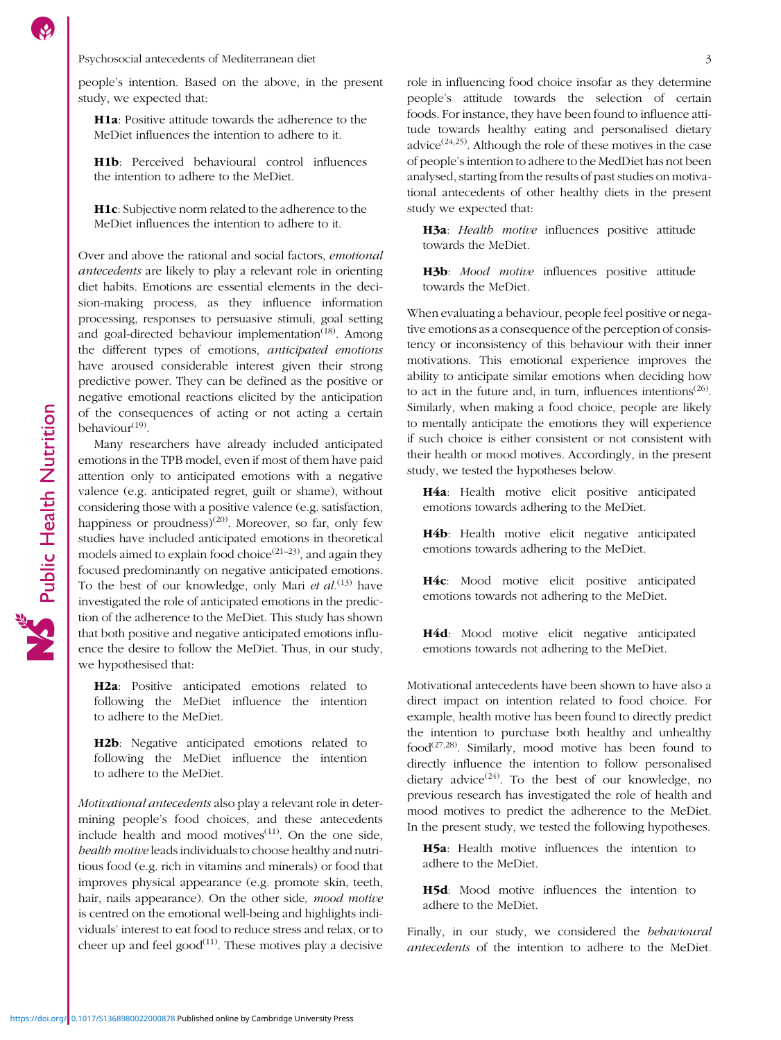Psychosocial antecedents of Mediterranean diet 33

people's intention. Based on the above, in the present study, we expected that:

H1a: Positive attitude towards the adherence to the MeDiet influences the intention to adhere to it.

H1b: Perceived behavioural control influences the intention to adhere to the MeDiet.

H1c: Subjective norm related to the adherence to the MeDiet influences the intention to adhere to it.

Over and above the rational and social factors, emotional antecedents are likely to play a relevant role in orienting diet habits. Emotions are essential elements in the decision-making process, as they influence information processing, responses to persuasive stimuli, goal setting and goal-directed behaviour implementation $(18)$  $(18)$ . Among the different types of emotions, anticipated emotions have aroused considerable interest given their strong predictive power. They can be defined as the positive or negative emotional reactions elicited by the anticipation of the consequences of acting or not acting a certain behaviour $(19)$  $(19)$  $(19)$ .

Many researchers have already included anticipated emotions in the TPB model, even if most of them have paid attention only to anticipated emotions with a negative valence (e.g. anticipated regret, guilt or shame), without considering those with a positive valence (e.g. satisfaction, happiness or proudness)<sup>([20](#page-14-0))</sup>. Moreover, so far, only few studies have included anticipated emotions in theoretical models aimed to explain food choice<sup> $(21-23)$  $(21-23)$  $(21-23)$  $(21-23)$  $(21-23)$ </sup>, and again they focused predominantly on negative anticipated emotions. To the best of our knowledge, only Mari et  $al$ .<sup>([13](#page-14-0))</sup> have investigated the role of anticipated emotions in the prediction of the adherence to the MeDiet. This study has shown that both positive and negative anticipated emotions influence the desire to follow the MeDiet. Thus, in our study, we hypothesised that:

H2a: Positive anticipated emotions related to following the MeDiet influence the intention to adhere to the MeDiet.

H2b: Negative anticipated emotions related to following the MeDiet influence the intention to adhere to the MeDiet.

Motivational antecedents also play a relevant role in determining people's food choices, and these antecedents include health and mood motives $(11)$ . On the one side, health motive leads individuals to choose healthy and nutritious food (e.g. rich in vitamins and minerals) or food that improves physical appearance (e.g. promote skin, teeth, hair, nails appearance). On the other side, mood motive is centred on the emotional well-being and highlights individuals' interest to eat food to reduce stress and relax, or to cheer up and feel good $^{(11)}$  $^{(11)}$  $^{(11)}$ . These motives play a decisive role in influencing food choice insofar as they determine people's attitude towards the selection of certain foods. For instance, they have been found to influence attitude towards healthy eating and personalised dietary advice<sup> $(24,25)$  $(24,25)$ </sup>. Although the role of these motives in the case of people's intention to adhere to the MedDiet has not been analysed, starting from the results of past studies on motivational antecedents of other healthy diets in the present study we expected that:

H3a: Health motive influences positive attitude towards the MeDiet.

H3b: Mood motive influences positive attitude towards the MeDiet.

When evaluating a behaviour, people feel positive or negative emotions as a consequence of the perception of consistency or inconsistency of this behaviour with their inner motivations. This emotional experience improves the ability to anticipate similar emotions when deciding how to act in the future and, in turn, influences intentions<sup> $(26)$  $(26)$ </sup>. Similarly, when making a food choice, people are likely to mentally anticipate the emotions they will experience if such choice is either consistent or not consistent with their health or mood motives. Accordingly, in the present study, we tested the hypotheses below.

H4a: Health motive elicit positive anticipated emotions towards adhering to the MeDiet.

H4b: Health motive elicit negative anticipated emotions towards adhering to the MeDiet.

H4c: Mood motive elicit positive anticipated emotions towards not adhering to the MeDiet.

H4d: Mood motive elicit negative anticipated emotions towards not adhering to the MeDiet.

Motivational antecedents have been shown to have also a direct impact on intention related to food choice. For example, health motive has been found to directly predict the intention to purchase both healthy and unhealthy food<sup> $(27,28)$  $(27,28)$  $(27,28)$  $(27,28)$ </sup>. Similarly, mood motive has been found to directly influence the intention to follow personalised dietary advice<sup> $(24)$ </sup>. To the best of our knowledge, no previous research has investigated the role of health and mood motives to predict the adherence to the MeDiet. In the present study, we tested the following hypotheses.

H5a: Health motive influences the intention to adhere to the MeDiet.

H5d: Mood motive influences the intention to adhere to the MeDiet.

Finally, in our study, we considered the behavioural antecedents of the intention to adhere to the MeDiet.

https://doi.org/<sup>1</sup>0.1017/S1368980022000878 Published online by Cambridge University Press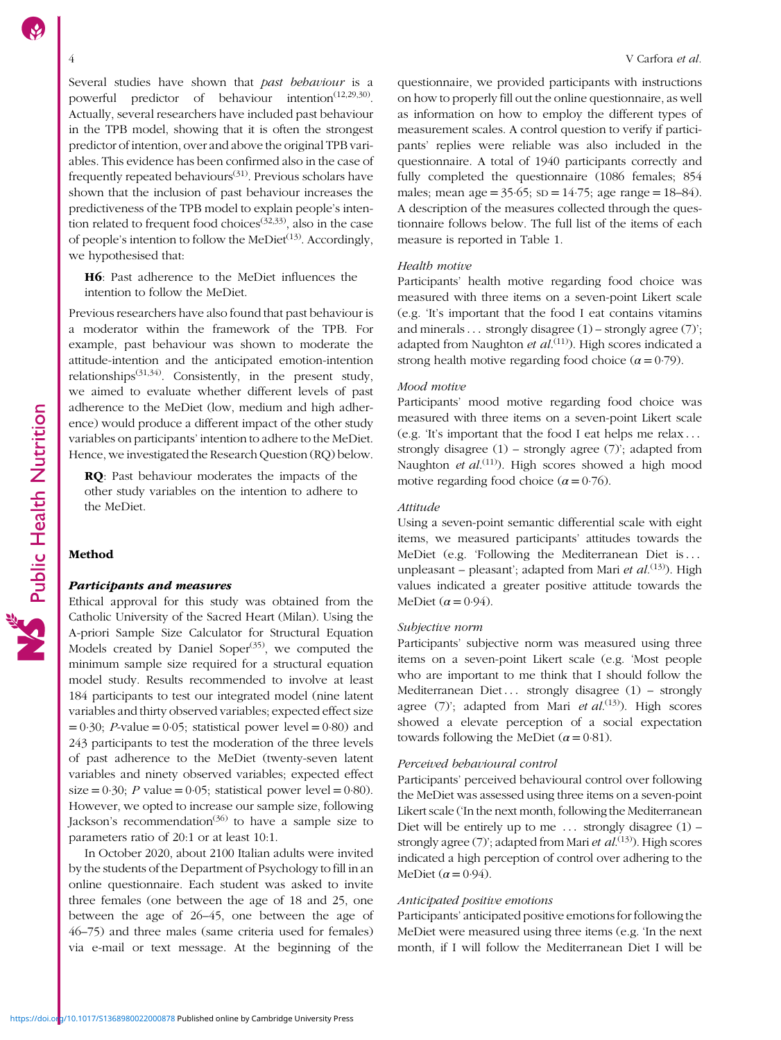Several studies have shown that past behaviour is a powerful predictor of behaviour intention<sup> $(12,29,30)$  $(12,29,30)$  $(12,29,30)$ </sup>. Actually, several researchers have included past behaviour in the TPB model, showing that it is often the strongest predictor of intention, over and above the original TPB variables. This evidence has been confirmed also in the case of frequently repeated behaviours[\(31\)](#page-14-0). Previous scholars have shown that the inclusion of past behaviour increases the predictiveness of the TPB model to explain people's intention related to frequent food choices<sup> $(32,33)$ </sup>, also in the case of people's intention to follow the MeDiet<sup> $(13)$  $(13)$  $(13)$ </sup>. Accordingly, we hypothesised that:

H6: Past adherence to the MeDiet influences the intention to follow the MeDiet.

Previous researchers have also found that past behaviour is a moderator within the framework of the TPB. For example, past behaviour was shown to moderate the attitude-intention and the anticipated emotion-intention relationships<sup> $(31,34)$  $(31,34)$ </sup>. Consistently, in the present study, we aimed to evaluate whether different levels of past adherence to the MeDiet (low, medium and high adherence) would produce a different impact of the other study variables on participants' intention to adhere to the MeDiet. Hence, we investigated the Research Question (RQ) below.

RQ: Past behaviour moderates the impacts of the other study variables on the intention to adhere to the MeDiet.

### Method

### Participants and measures

Ethical approval for this study was obtained from the Catholic University of the Sacred Heart (Milan). Using the A-priori Sample Size Calculator for Structural Equation Models created by Daniel Soper $(35)$  $(35)$ , we computed the minimum sample size required for a structural equation model study. Results recommended to involve at least 184 participants to test our integrated model (nine latent variables and thirty observed variables; expected effect size  $= 0.30$ ; *P*-value  $= 0.05$ ; statistical power level  $= 0.80$ ) and 243 participants to test the moderation of the three levels of past adherence to the MeDiet (twenty-seven latent variables and ninety observed variables; expected effect size =  $0.30$ ; *P* value =  $0.05$ ; statistical power level =  $0.80$ ). However, we opted to increase our sample size, following Jackson's recommendation<sup>([36](#page-14-0))</sup> to have a sample size to parameters ratio of 20:1 or at least 10:1.

In October 2020, about 2100 Italian adults were invited by the students of the Department of Psychology to fill in an online questionnaire. Each student was asked to invite three females (one between the age of 18 and 25, one between the age of 26–45, one between the age of 46–75) and three males (same criteria used for females) via e-mail or text message. At the beginning of the

questionnaire, we provided participants with instructions on how to properly fill out the online questionnaire, as well as information on how to employ the different types of measurement scales. A control question to verify if participants' replies were reliable was also included in the questionnaire. A total of 1940 participants correctly and fully completed the questionnaire (1086 females; 854 males; mean age =  $35.65$ ; sD =  $14.75$ ; age range =  $18-84$ ). A description of the measures collected through the questionnaire follows below. The full list of the items of each measure is reported in Table [1](#page-4-0).

### Health motive

Participants' health motive regarding food choice was measured with three items on a seven-point Likert scale (e.g. 'It's important that the food I eat contains vitamins and minerals... strongly disagree  $(1)$  – strongly agree  $(7)$ '; adapted from Naughton et al.<sup>([11](#page-14-0))</sup>). High scores indicated a strong health motive regarding food choice ( $\alpha = 0.79$ ).

### Mood motive

Participants' mood motive regarding food choice was measured with three items on a seven-point Likert scale (e.g. 'It's important that the food I eat helps me relax ::: strongly disagree (1) – strongly agree (7)'; adapted from Naughton et al.<sup>[\(11\)](#page-14-0)</sup>). High scores showed a high mood motive regarding food choice  $(\alpha = 0.76)$ .

### Attitude

Using a seven-point semantic differential scale with eight items, we measured participants' attitudes towards the MeDiet (e.g. 'Following the Mediterranean Diet is... unpleasant – pleasant'; adapted from Mari et  $al^{(13)}$  $al^{(13)}$  $al^{(13)}$ ). High values indicated a greater positive attitude towards the MeDiet  $(\alpha = 0.94)$ .

### Subjective norm

Participants' subjective norm was measured using three items on a seven-point Likert scale (e.g. 'Most people who are important to me think that I should follow the Mediterranean Diet... strongly disagree (1) – strongly agree  $(7)$ '; adapted from Mari et  $al$ .<sup>([13](#page-14-0))</sup>). High scores showed a elevate perception of a social expectation towards following the MeDiet  $(\alpha = 0.81)$ .

### Perceived behavioural control

Participants' perceived behavioural control over following the MeDiet was assessed using three items on a seven-point Likert scale ('In the next month, following the Mediterranean Diet will be entirely up to me  $\ldots$  strongly disagree (1) – strongly agree (7)'; adapted from Mari et al.<sup>[\(13](#page-14-0))</sup>). High scores indicated a high perception of control over adhering to the MeDiet ( $\alpha$  = 0.94).

### Anticipated positive emotions

Participants' anticipated positive emotions for following the MeDiet were measured using three items (e.g. 'In the next month, if I will follow the Mediterranean Diet I will be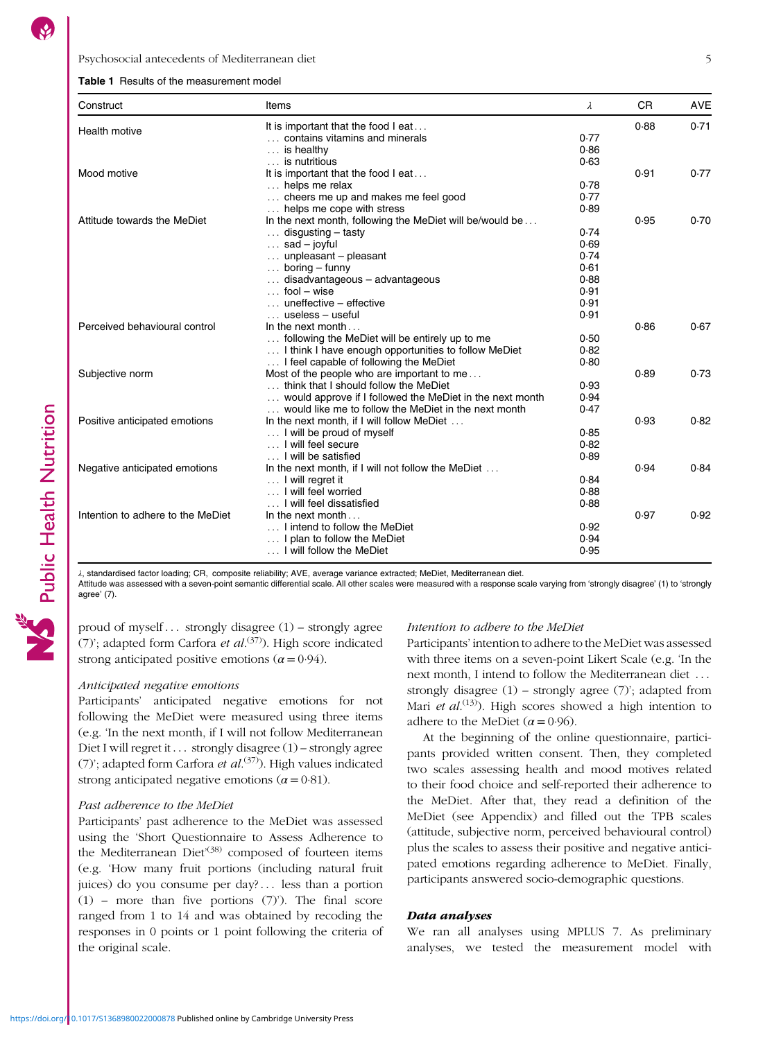### <span id="page-4-0"></span>Psychosocial antecedents of Mediterranean diet 5

### Table 1 Results of the measurement model

| Construct                         | Items                                                    | λ    | <b>CR</b> | <b>AVE</b> |
|-----------------------------------|----------------------------------------------------------|------|-----------|------------|
| Health motive                     | It is important that the food I eat                      |      | 0.88      | 0.71       |
|                                   | contains vitamins and minerals                           | 0.77 |           |            |
|                                   | $\ldots$ is healthy                                      | 0.86 |           |            |
|                                   | is nutritious                                            | 0.63 |           |            |
| Mood motive                       | It is important that the food I eat                      |      | 0.91      | 0.77       |
|                                   | helps me relax                                           | 0.78 |           |            |
|                                   | cheers me up and makes me feel good                      | 0.77 |           |            |
|                                   | helps me cope with stress                                | 0.89 |           |            |
| Attitude towards the MeDiet       | In the next month, following the MeDiet will be/would be |      | 0.95      | 0.70       |
|                                   | $\ldots$ disgusting – tasty                              | 0.74 |           |            |
|                                   | $\ldots$ sad – joyful                                    | 0.69 |           |            |
|                                   | $\ldots$ unpleasant – pleasant                           | 0.74 |           |            |
|                                   | $\ldots$ boring – funny                                  | 0.61 |           |            |
|                                   | disadvantageous - advantageous                           | 0.88 |           |            |
|                                   | $\ldots$ fool – wise                                     | 0.91 |           |            |
|                                   | $\ldots$ uneffective – effective                         | 0.91 |           |            |
|                                   | $\ldots$ useless – useful                                | 0.91 |           |            |
| Perceived behavioural control     | In the next month $\dots$                                |      | 0.86      | 0.67       |
|                                   | following the MeDiet will be entirely up to me           | 0.50 |           |            |
|                                   | I think I have enough opportunities to follow MeDiet     | 0.82 |           |            |
|                                   | I feel capable of following the MeDiet                   | 0.80 |           |            |
| Subjective norm                   | Most of the people who are important to me               |      | 0.89      | 0.73       |
|                                   | think that I should follow the MeDiet                    | 0.93 |           |            |
|                                   | would approve if I followed the MeDiet in the next month | 0.94 |           |            |
|                                   | would like me to follow the MeDiet in the next month     | 0.47 |           |            |
| Positive anticipated emotions     | In the next month, if I will follow MeDiet               |      | 0.93      | 0.82       |
|                                   | I will be proud of myself                                | 0.85 |           |            |
|                                   | I will feel secure                                       | 0.82 |           |            |
|                                   | I will be satisfied                                      | 0.89 |           |            |
| Negative anticipated emotions     | In the next month, if I will not follow the MeDiet       |      | 0.94      | 0.84       |
|                                   | I will regret it                                         | 0.84 |           |            |
|                                   | I will feel worried                                      | 0.88 |           |            |
|                                   | I will feel dissatisfied                                 | 0.88 |           |            |
| Intention to adhere to the MeDiet | In the next month $\dots$                                |      | 0.97      | 0.92       |
|                                   | I intend to follow the MeDiet                            | 0.92 |           |            |
|                                   | I plan to follow the MeDiet                              | 0.94 |           |            |
|                                   | I will follow the MeDiet                                 | 0.95 |           |            |
|                                   |                                                          |      |           |            |

λ, standardised factor loading; CR, composite reliability; AVE, average variance extracted; MeDiet, Mediterranean diet.

Attitude was assessed with a seven-point semantic differential scale. All other scales were measured with a response scale varying from 'strongly disagree' (1) to 'strongly agree' (7).

proud of myself... strongly disagree  $(1)$  – strongly agree (7)'; adapted form Carfora *et al*.<sup>([37](#page-14-0))</sup>). High score indicated strong anticipated positive emotions ( $\alpha$  = 0.94).

### Anticipated negative emotions

Participants' anticipated negative emotions for not following the MeDiet were measured using three items (e.g. 'In the next month, if I will not follow Mediterranean Diet I will regret it  $\ldots$  strongly disagree (1) – strongly agree (7)'; adapted form Carfora et al.<sup>[\(37](#page-14-0))</sup>). High values indicated strong anticipated negative emotions ( $\alpha$  = 0.81).

### Past adherence to the MeDiet

Participants' past adherence to the MeDiet was assessed using the 'Short Questionnaire to Assess Adherence to the Mediterranean Diet<sup>[\(38](#page-14-0))</sup> composed of fourteen items (e.g. 'How many fruit portions (including natural fruit juices) do you consume per day?... less than a portion (1) – more than five portions (7)'). The final score ranged from 1 to 14 and was obtained by recoding the responses in 0 points or 1 point following the criteria of the original scale.

### Intention to adhere to the MeDiet

Participants' intention to adhere to the MeDiet was assessed with three items on a seven-point Likert Scale (e.g. 'In the next month, I intend to follow the Mediterranean diet ... strongly disagree (1) – strongly agree (7)'; adapted from Mari *et al.*<sup>[\(13\)](#page-14-0)</sup>). High scores showed a high intention to adhere to the MeDiet ( $\alpha$  = 0.96).

At the beginning of the online questionnaire, participants provided written consent. Then, they completed two scales assessing health and mood motives related to their food choice and self-reported their adherence to the MeDiet. After that, they read a definition of the MeDiet (see Appendix) and filled out the TPB scales (attitude, subjective norm, perceived behavioural control) plus the scales to assess their positive and negative anticipated emotions regarding adherence to MeDiet. Finally, participants answered socio-demographic questions.

### Data analyses

We ran all analyses using MPLUS 7. As preliminary analyses, we tested the measurement model with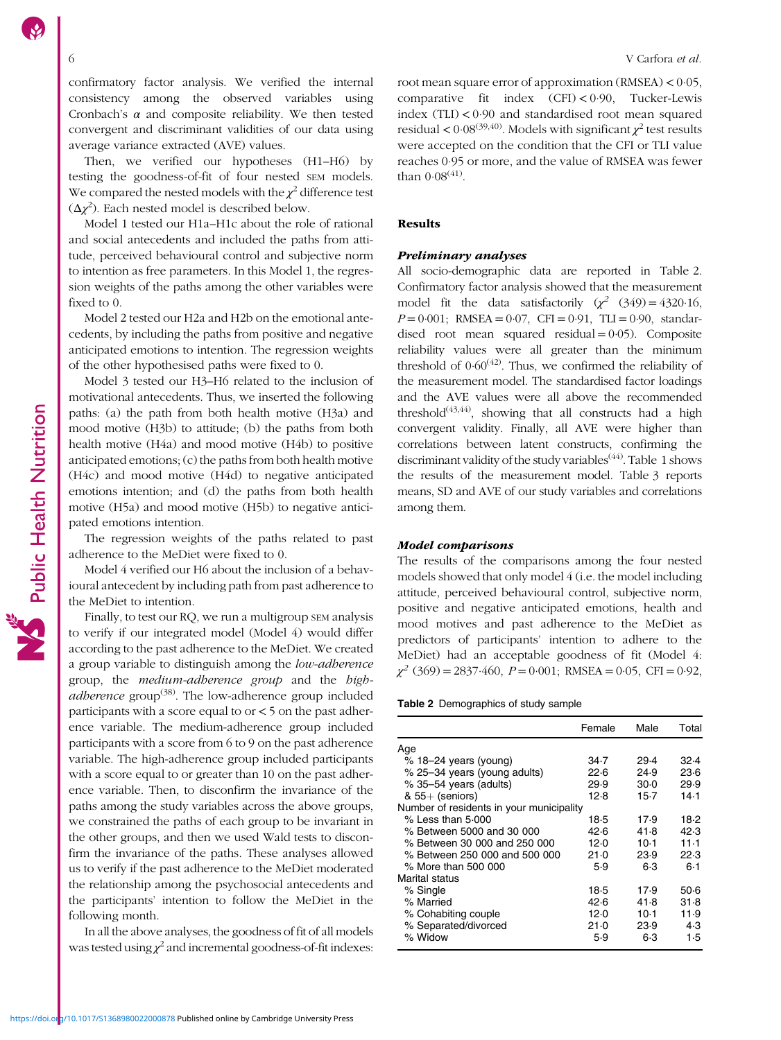confirmatory factor analysis. We verified the internal consistency among the observed variables using Cronbach's  $\alpha$  and composite reliability. We then tested convergent and discriminant validities of our data using average variance extracted (AVE) values.

Then, we verified our hypotheses (H1–H6) by testing the goodness-of-fit of four nested SEM models. We compared the nested models with the  $\chi^2$  difference test  $(\Delta \chi^2)$ . Each nested model is described below.

Model 1 tested our H1a–H1c about the role of rational and social antecedents and included the paths from attitude, perceived behavioural control and subjective norm to intention as free parameters. In this Model 1, the regression weights of the paths among the other variables were fixed to 0.

Model 2 tested our H2a and H2b on the emotional antecedents, by including the paths from positive and negative anticipated emotions to intention. The regression weights of the other hypothesised paths were fixed to 0.

Model 3 tested our H3–H6 related to the inclusion of motivational antecedents. Thus, we inserted the following paths: (a) the path from both health motive (H3a) and mood motive (H3b) to attitude; (b) the paths from both health motive (H4a) and mood motive (H4b) to positive anticipated emotions; (c) the paths from both health motive (H4c) and mood motive (H4d) to negative anticipated emotions intention; and (d) the paths from both health motive (H5a) and mood motive (H5b) to negative anticipated emotions intention.

The regression weights of the paths related to past adherence to the MeDiet were fixed to 0.

Model 4 verified our H6 about the inclusion of a behavioural antecedent by including path from past adherence to the MeDiet to intention.

Finally, to test our RQ, we run a multigroup SEM analysis to verify if our integrated model (Model 4) would differ according to the past adherence to the MeDiet. We created a group variable to distinguish among the low-adherence group, the medium-adherence group and the high*adherence* group<sup>([38](#page-14-0))</sup>. The low-adherence group included participants with a score equal to or < 5 on the past adherence variable. The medium-adherence group included participants with a score from 6 to 9 on the past adherence variable. The high-adherence group included participants with a score equal to or greater than 10 on the past adherence variable. Then, to disconfirm the invariance of the paths among the study variables across the above groups, we constrained the paths of each group to be invariant in the other groups, and then we used Wald tests to disconfirm the invariance of the paths. These analyses allowed us to verify if the past adherence to the MeDiet moderated the relationship among the psychosocial antecedents and the participants' intention to follow the MeDiet in the following month.

In all the above analyses, the goodness of fit of all models was tested using  $\chi^2$  and incremental goodness-of-fit indexes: root mean square error of approximation (RMSEA) < 0·05, comparative fit index (CFI) < 0·90, Tucker-Lewis index  $(TLI) < 0.90$  and standardised root mean squared residual <  $0.08^{(39,40)}$  $0.08^{(39,40)}$  $0.08^{(39,40)}$  $0.08^{(39,40)}$  $0.08^{(39,40)}$ . Models with significant  $\chi^2$  test results were accepted on the condition that the CFI or TLI value reaches 0·95 or more, and the value of RMSEA was fewer than  $0.08(41)$  $0.08(41)$  $0.08(41)$ .

### **Results**

### Preliminary analyses

All socio-demographic data are reported in Table 2. Confirmatory factor analysis showed that the measurement model fit the data satisfactorily  $(x^2 \quad (349) = 4320.16,$  $P = 0.001$ ; RMSEA = 0.07, CFI = 0.91, TLI = 0.90, standardised root mean squared residual  $= 0.05$ ). Composite reliability values were all greater than the minimum threshold of  $0.60^{(42)}$  $0.60^{(42)}$  $0.60^{(42)}$ . Thus, we confirmed the reliability of the measurement model. The standardised factor loadings and the AVE values were all above the recommended threshold<sup> $(43,44)$ </sup>, showing that all constructs had a high convergent validity. Finally, all AVE were higher than correlations between latent constructs, confirming the discriminant validity of the study variables<sup>[\(44\)](#page-14-0)</sup>. Table [1](#page-4-0) shows the results of the measurement model. Table [3](#page-6-0) reports means, SD and AVE of our study variables and correlations among them.

### Model comparisons

The results of the comparisons among the four nested models showed that only model 4 (i.e. the model including attitude, perceived behavioural control, subjective norm, positive and negative anticipated emotions, health and mood motives and past adherence to the MeDiet as predictors of participants' intention to adhere to the MeDiet) had an acceptable goodness of fit (Model 4:  $\chi^2$  (369) = 2837.460, P = 0.001; RMSEA = 0.05, CFI = 0.92,

|  | Table 2 Demographics of study sample |  |  |
|--|--------------------------------------|--|--|
|  |                                      |  |  |

|                                          | Female | Male   | Total |
|------------------------------------------|--------|--------|-------|
| Age                                      |        |        |       |
| $% 18-24$ years (young)                  | 34.7   | 29.4   | 32.4  |
| % 25-34 years (young adults)             | 22.6   | 24.9   | 23.6  |
| % 35-54 years (adults)                   | 29.9   | $30-0$ | 29.9  |
| $& 55+$ (seniors)                        | 12.8   | $15-7$ | 14.1  |
| Number of residents in your municipality |        |        |       |
| $%$ Less than 5.000                      | 18.5   | 17.9   | 18.2  |
| % Between 5000 and 30 000                | 42.6   | 41.8   | 42.3  |
| % Between 30 000 and 250 000             | 12.0   | $10-1$ | 11.1  |
| % Between 250 000 and 500 000            | 21.0   | 23.9   | 22.3  |
| % More than 500 000                      | 5.9    | 6.3    | 6.1   |
| Marital status                           |        |        |       |
| % Single                                 | 18.5   | 17.9   | 50.6  |
| % Married                                | 42.6   | 41.8   | 31.8  |
| % Cohabiting couple                      | 12.0   | $10-1$ | 11.9  |
| % Separated/divorced                     | $21-0$ | 23.9   | 4.3   |
| % Widow                                  | 5.9    | 6.3    | 1.5   |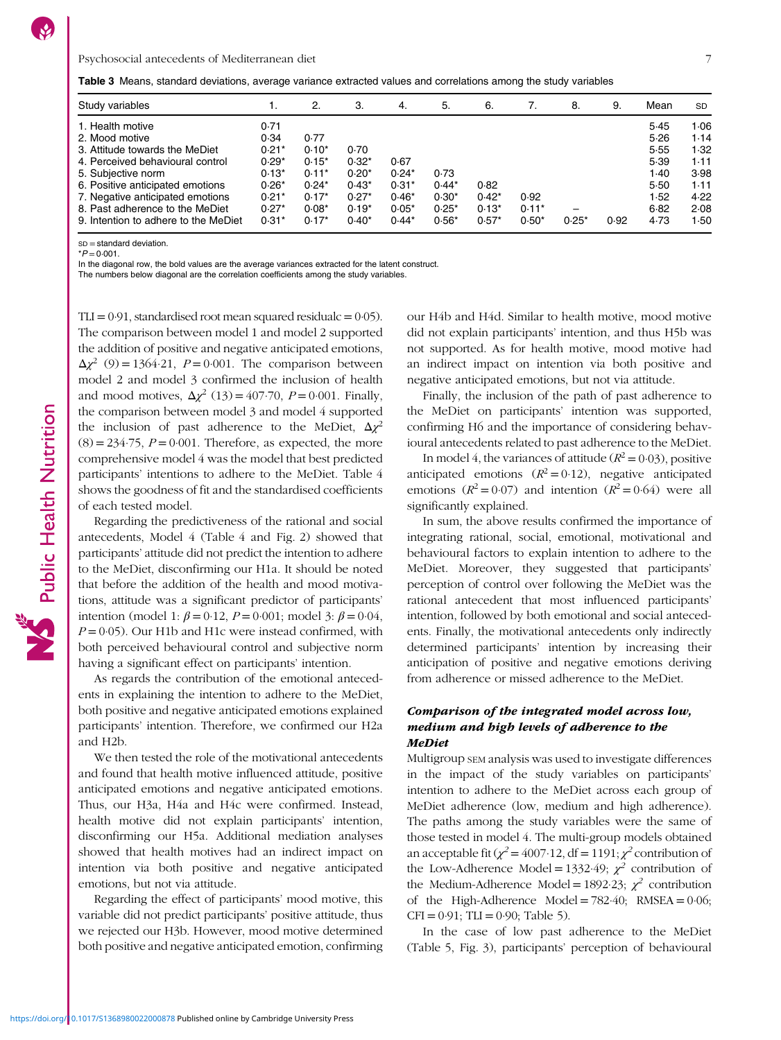<span id="page-6-0"></span>

|  | <b>Table 3</b> Means, standard deviations, average variance extracted values and correlations among the study variables |  |  |  |  |  |
|--|-------------------------------------------------------------------------------------------------------------------------|--|--|--|--|--|
|  |                                                                                                                         |  |  |  |  |  |

| Study variables                      | ι.      | 2.      | З.      | 4.      | 5.      | 6.      |         | 8.      | 9.   | Mean | <b>SD</b> |
|--------------------------------------|---------|---------|---------|---------|---------|---------|---------|---------|------|------|-----------|
| 1. Health motive                     | 0.71    |         |         |         |         |         |         |         |      | 5.45 | 1.06      |
| 2. Mood motive                       | 0.34    | 0.77    |         |         |         |         |         |         |      | 5.26 | 1.14      |
| 3. Attitude towards the MeDiet       | $0.21*$ | $0.10*$ | 0.70    |         |         |         |         |         |      | 5.55 | 1.32      |
| 4. Perceived behavioural control     | $0.29*$ | $0.15*$ | $0.32*$ | 0.67    |         |         |         |         |      | 5.39 | 1.11      |
| 5. Subjective norm                   | $0.13*$ | $0.11*$ | $0.20*$ | $0.24*$ | 0.73    |         |         |         |      | 1.40 | 3.98      |
| 6. Positive anticipated emotions     | $0.26*$ | $0.24*$ | $0.43*$ | $0.31*$ | $0.44*$ | 0.82    |         |         |      | 5.50 | 1.11      |
| 7. Negative anticipated emotions     | $0.21*$ | $0.17*$ | $0.27*$ | $0.46*$ | $0.30*$ | $0.42*$ | 0.92    |         |      | 1.52 | 4.22      |
| 8. Past adherence to the MeDiet      | $0.27*$ | $0.08*$ | $0.19*$ | $0.05*$ | $0.25*$ | $0.13*$ | $0.11*$ |         |      | 6.82 | 2.08      |
| 9. Intention to adhere to the MeDiet | $0.31*$ | $0.17*$ | $0.40*$ | $0.44*$ | $0.56*$ | $0.57*$ | $0.50*$ | $0.25*$ | 0.92 | 4.73 | 1.50      |

 $SD = standard deviation$ 

 $*P = 0.001$ .

In the diagonal row, the bold values are the average variances extracted for the latent construct.

The numbers below diagonal are the correlation coefficients among the study variables.

 $TLI = 0.91$ , standardised root mean squared residualc = 0.05). The comparison between model 1 and model 2 supported the addition of positive and negative anticipated emotions,  $\Delta \chi^2$  (9) = 1364.21, P = 0.001. The comparison between model 2 and model 3 confirmed the inclusion of health and mood motives,  $\Delta \chi^2$  (13) = 407.70, P = 0.001. Finally, the comparison between model 3 and model 4 supported the inclusion of past adherence to the MeDiet,  $\Delta \chi^2$  $(8) = 234.75$ ,  $P = 0.001$ . Therefore, as expected, the more comprehensive model 4 was the model that best predicted participants' intentions to adhere to the MeDiet. Table [4](#page-7-0) shows the goodness of fit and the standardised coefficients of each tested model.

Regarding the predictiveness of the rational and social antecedents, Model 4 (Table [4](#page-7-0) and Fig. [2](#page-8-0)) showed that participants' attitude did not predict the intention to adhere to the MeDiet, disconfirming our H1a. It should be noted that before the addition of the health and mood motivations, attitude was a significant predictor of participants' intention (model 1:  $β = 0.12$ ,  $P = 0.001$ ; model 3:  $β = 0.04$ ,  $P = 0.05$ ). Our H1b and H1c were instead confirmed, with both perceived behavioural control and subjective norm having a significant effect on participants' intention.

As regards the contribution of the emotional antecedents in explaining the intention to adhere to the MeDiet, both positive and negative anticipated emotions explained participants' intention. Therefore, we confirmed our H2a and H2b.

We then tested the role of the motivational antecedents and found that health motive influenced attitude, positive anticipated emotions and negative anticipated emotions. Thus, our H3a, H4a and H4c were confirmed. Instead, health motive did not explain participants' intention, disconfirming our H5a. Additional mediation analyses showed that health motives had an indirect impact on intention via both positive and negative anticipated emotions, but not via attitude.

Regarding the effect of participants' mood motive, this variable did not predict participants' positive attitude, thus we rejected our H3b. However, mood motive determined both positive and negative anticipated emotion, confirming our H4b and H4d. Similar to health motive, mood motive did not explain participants' intention, and thus H5b was not supported. As for health motive, mood motive had an indirect impact on intention via both positive and negative anticipated emotions, but not via attitude.

Finally, the inclusion of the path of past adherence to the MeDiet on participants' intention was supported, confirming H6 and the importance of considering behavioural antecedents related to past adherence to the MeDiet.

In model 4, the variances of attitude  $(R^2 = 0.03)$ , positive anticipated emotions  $(R^2 = 0.12)$ , negative anticipated emotions  $(R^2 = 0.07)$  and intention  $(R^2 = 0.64)$  were all significantly explained.

In sum, the above results confirmed the importance of integrating rational, social, emotional, motivational and behavioural factors to explain intention to adhere to the MeDiet. Moreover, they suggested that participants' perception of control over following the MeDiet was the rational antecedent that most influenced participants' intention, followed by both emotional and social antecedents. Finally, the motivational antecedents only indirectly determined participants' intention by increasing their anticipation of positive and negative emotions deriving from adherence or missed adherence to the MeDiet.

### Comparison of the integrated model across low, medium and high levels of adherence to the MeDiet

Multigroup SEM analysis was used to investigate differences in the impact of the study variables on participants' intention to adhere to the MeDiet across each group of MeDiet adherence (low, medium and high adherence). The paths among the study variables were the same of those tested in model 4. The multi-group models obtained an acceptable fit ( $\chi^2$  = 4007·12, df = 1191;  $\chi^2$  contribution of the Low-Adherence Model = 1332.49;  $\chi^2$  contribution of the Medium-Adherence Model = 1892·23;  $\chi^2$  contribution of the High-Adherence Model =  $782.40$ ; RMSEA =  $0.06$ ;  $CFI = 0.91$ ; TLI = 0.90; Table [5\)](#page-8-0).

In the case of low past adherence to the MeDiet (Table [5](#page-8-0), Fig. [3](#page-9-0)), participants' perception of behavioural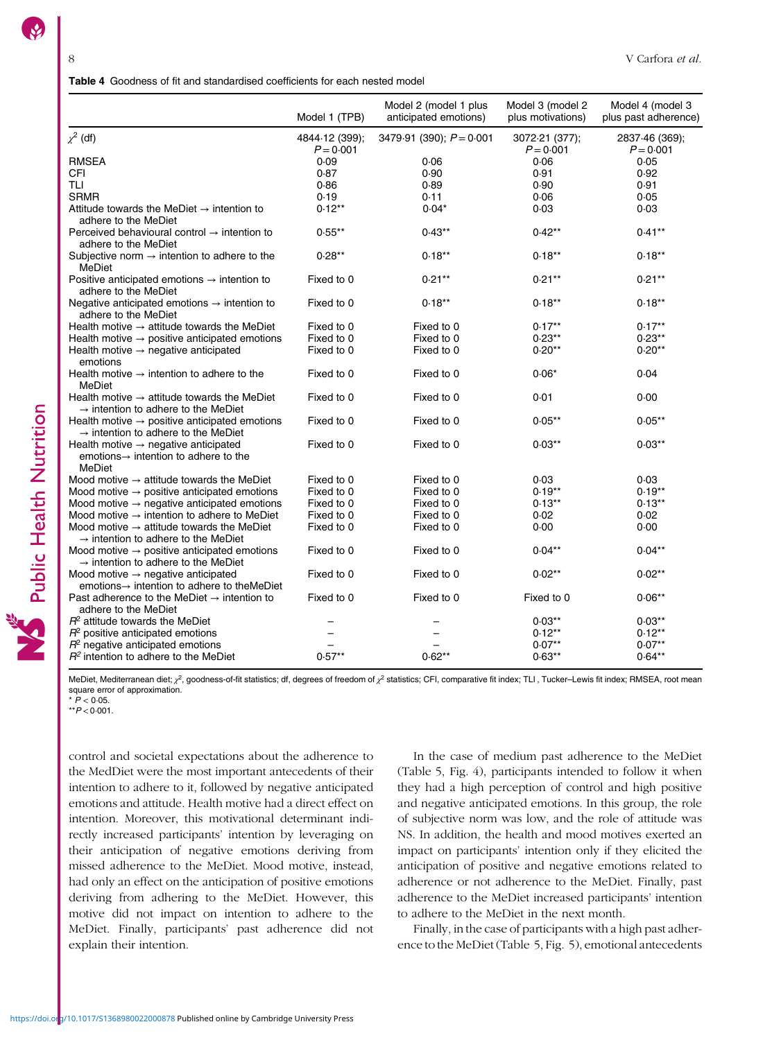<span id="page-7-0"></span>

|                                                                                                                 | Model 1 (TPB)                 | Model 2 (model 1 plus<br>anticipated emotions) | Model 3 (model 2<br>plus motivations) | Model 4 (model 3<br>plus past adherence) |
|-----------------------------------------------------------------------------------------------------------------|-------------------------------|------------------------------------------------|---------------------------------------|------------------------------------------|
| $\chi^2$ (df)                                                                                                   | 4844-12 (399);<br>$P = 0.001$ | 3479.91 (390); $P = 0.001$                     | 3072-21 (377);<br>$P = 0.001$         | 2837.46 (369);<br>$P = 0.001$            |
| <b>RMSEA</b>                                                                                                    | 0.09                          | 0.06                                           | 0.06                                  | 0.05                                     |
| CFI                                                                                                             | 0.87                          | 0.90                                           | 0.91                                  | 0.92                                     |
| <b>TLI</b>                                                                                                      | 0.86                          | 0.89                                           | 0.90                                  | 0.91                                     |
| <b>SRMR</b>                                                                                                     | 0.19                          | 0.11                                           | 0.06                                  | 0.05                                     |
| Attitude towards the MeDiet $\rightarrow$ intention to<br>adhere to the MeDiet                                  | $0.12**$                      | $0.04*$                                        | 0.03                                  | 0.03                                     |
| Perceived behavioural control $\rightarrow$ intention to<br>adhere to the MeDiet                                | $0.55***$                     | $0.43**$                                       | $0.42**$                              | $0.41**$                                 |
| Subjective norm $\rightarrow$ intention to adhere to the<br>MeDiet                                              | $0.28**$                      | $0.18***$                                      | $0.18**$                              | $0.18**$                                 |
| Positive anticipated emotions $\rightarrow$ intention to<br>adhere to the MeDiet                                | Fixed to 0                    | $0.21**$                                       | $0.21**$                              | $0.21**$                                 |
| Negative anticipated emotions $\rightarrow$ intention to<br>adhere to the MeDiet                                | Fixed to 0                    | $0.18**$                                       | $0.18**$                              | $0.18**$                                 |
| Health motive $\rightarrow$ attitude towards the MeDiet                                                         | Fixed to 0                    | Fixed to 0                                     | $0.17***$                             | $0.17**$                                 |
| Health motive $\rightarrow$ positive anticipated emotions                                                       | Fixed to 0                    | Fixed to 0                                     | $0.23**$                              | $0.23**$                                 |
| Health motive $\rightarrow$ negative anticipated<br>emotions                                                    | Fixed to 0                    | Fixed to 0                                     | $0.20**$                              | $0.20**$                                 |
| Health motive $\rightarrow$ intention to adhere to the<br>MeDiet                                                | Fixed to 0                    | Fixed to 0                                     | $0.06*$                               | 0.04                                     |
| Health motive $\rightarrow$ attitude towards the MeDiet<br>$\rightarrow$ intention to adhere to the MeDiet      | Fixed to 0                    | Fixed to 0                                     | 0.01                                  | 0.00                                     |
| Health motive $\rightarrow$ positive anticipated emotions<br>$\rightarrow$ intention to adhere to the MeDiet    | Fixed to 0                    | Fixed to 0                                     | $0.05***$                             | $0.05**$                                 |
| Health motive $\rightarrow$ negative anticipated<br>emotions $\rightarrow$ intention to adhere to the<br>MeDiet | Fixed to 0                    | Fixed to 0                                     | $0.03**$                              | $0.03**$                                 |
| Mood motive $\rightarrow$ attitude towards the MeDiet                                                           | Fixed to 0                    | Fixed to 0                                     | 0.03                                  | 0.03                                     |
| Mood motive $\rightarrow$ positive anticipated emotions                                                         | Fixed to 0                    | Fixed to 0                                     | $0.19**$                              | $0.19**$                                 |
| Mood motive $\rightarrow$ negative anticipated emotions                                                         | Fixed to 0                    | Fixed to 0                                     | $0.13**$                              | $0.13***$                                |
| Mood motive $\rightarrow$ intention to adhere to MeDiet                                                         | Fixed to 0                    | Fixed to 0                                     | 0.02                                  | 0.02                                     |
| Mood motive $\rightarrow$ attitude towards the MeDiet<br>$\rightarrow$ intention to adhere to the MeDiet        | Fixed to 0                    | Fixed to 0                                     | 0.00                                  | 0.00                                     |
| Mood motive $\rightarrow$ positive anticipated emotions<br>$\rightarrow$ intention to adhere to the MeDiet      | Fixed to 0                    | Fixed to 0                                     | $0.04**$                              | $0.04**$                                 |
| Mood motive $\rightarrow$ negative anticipated<br>emotions $\rightarrow$ intention to adhere to the MeDiet      | Fixed to 0                    | Fixed to 0                                     | $0.02***$                             | $0.02**$                                 |
| Past adherence to the MeDiet $\rightarrow$ intention to<br>adhere to the MeDiet                                 | Fixed to 0                    | Fixed to 0                                     | Fixed to 0                            | $0.06**$                                 |
| $R2$ attitude towards the MeDiet                                                                                |                               |                                                | $0.03**$                              | $0.03**$                                 |
| $R2$ positive anticipated emotions                                                                              |                               |                                                | $0.12**$                              | $0.12***$                                |
| $R2$ negative anticipated emotions                                                                              |                               |                                                | $0.07**$                              | $0.07**$                                 |
| $R2$ intention to adhere to the MeDiet                                                                          | $0.57**$                      | $0.62**$                                       | $0.63**$                              | $0.64**$                                 |

MeDiet, Mediterranean diet; χ<sup>2</sup>, goodness-of-fit statistics; df, degrees of freedom of χ<sup>2</sup> statistics; CFI, comparative fit index; TLI, Tucker-Lewis fit index; RMSEA, root mean square error of approximation.

 $* \, P < 0.05$ .

Public Health Nutrition

 $*$  $*$  $P$  < 0.001.

control and societal expectations about the adherence to the MedDiet were the most important antecedents of their intention to adhere to it, followed by negative anticipated emotions and attitude. Health motive had a direct effect on intention. Moreover, this motivational determinant indirectly increased participants' intention by leveraging on their anticipation of negative emotions deriving from missed adherence to the MeDiet. Mood motive, instead, had only an effect on the anticipation of positive emotions deriving from adhering to the MeDiet. However, this motive did not impact on intention to adhere to the MeDiet. Finally, participants' past adherence did not explain their intention.

In the case of medium past adherence to the MeDiet (Table [5,](#page-8-0) Fig. [4](#page-9-0)), participants intended to follow it when they had a high perception of control and high positive and negative anticipated emotions. In this group, the role of subjective norm was low, and the role of attitude was NS. In addition, the health and mood motives exerted an impact on participants' intention only if they elicited the anticipation of positive and negative emotions related to adherence or not adherence to the MeDiet. Finally, past adherence to the MeDiet increased participants' intention to adhere to the MeDiet in the next month.

Finally, in the case of participants with a high past adherence to the MeDiet (Table [5](#page-8-0), Fig. [5\)](#page-10-0), emotional antecedents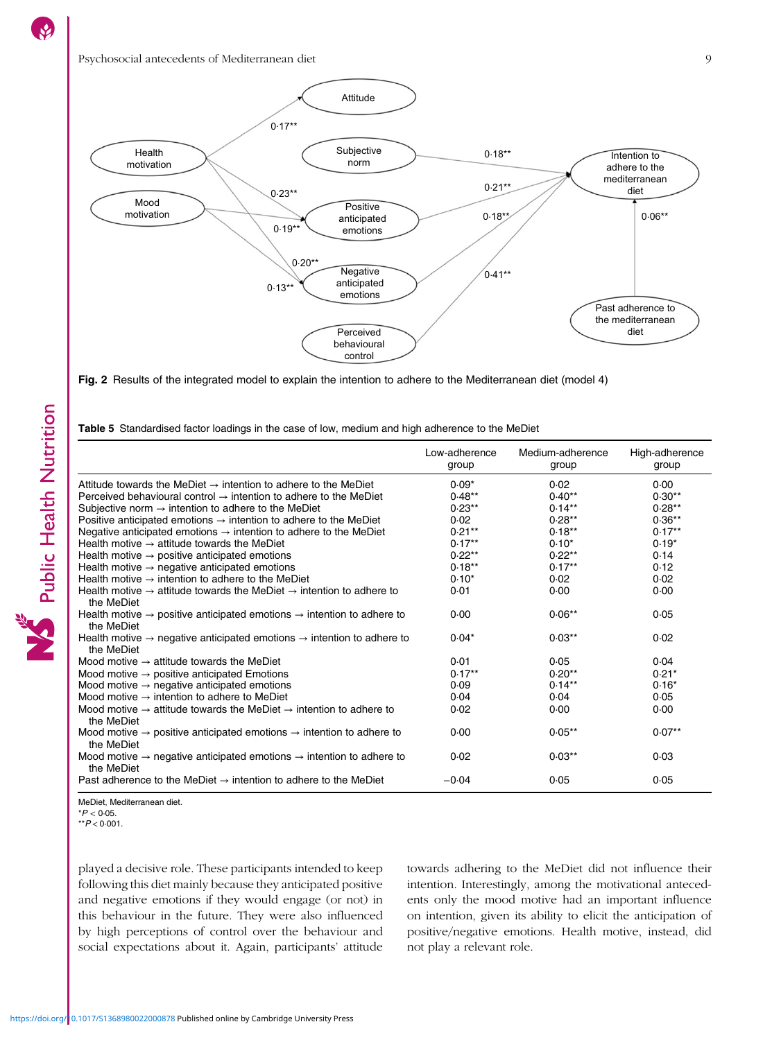

Fig. 2 Results of the integrated model to explain the intention to adhere to the Mediterranean diet (model 4)

| Table 5 Standardised factor loadings in the case of low, medium and high adherence to the MeDiet |  |  |  |  |  |
|--------------------------------------------------------------------------------------------------|--|--|--|--|--|
|                                                                                                  |  |  |  |  |  |

|                                                                                                              | Low-adherence<br>group | Medium-adherence<br>group | High-adherence<br>group |
|--------------------------------------------------------------------------------------------------------------|------------------------|---------------------------|-------------------------|
| Attitude towards the MeDiet $\rightarrow$ intention to adhere to the MeDiet                                  | $0.09*$                | 0.02                      | 0.00                    |
| Perceived behavioural control $\rightarrow$ intention to adhere to the MeDiet                                | $0.48**$               | $0.40**$                  | $0.30**$                |
| Subjective norm $\rightarrow$ intention to adhere to the MeDiet                                              | $0.23**$               | $0.14***$                 | $0.28**$                |
| Positive anticipated emotions $\rightarrow$ intention to adhere to the MeDiet                                | 0.02                   | $0.28**$                  | $0.36**$                |
| Negative anticipated emotions $\rightarrow$ intention to adhere to the MeDiet                                | $0.21***$              | $0.18**$                  | $0.17**$                |
| Health motive $\rightarrow$ attitude towards the MeDiet                                                      | $0.17**$               | $0.10*$                   | $0.19*$                 |
| Health motive $\rightarrow$ positive anticipated emotions                                                    | $0.22**$               | $0.22**$                  | 0.14                    |
| Health motive $\rightarrow$ negative anticipated emotions                                                    | $0.18**$               | $0.17**$                  | 0.12                    |
| Health motive $\rightarrow$ intention to adhere to the MeDiet                                                | $0.10*$                | 0.02                      | 0.02                    |
| Health motive $\rightarrow$ attitude towards the MeDiet $\rightarrow$ intention to adhere to<br>the MeDiet   | 0.01                   | 0.00                      | 0.00                    |
| Health motive $\rightarrow$ positive anticipated emotions $\rightarrow$ intention to adhere to<br>the MeDiet | 0.00                   | $0.06**$                  | 0.05                    |
| Health motive $\rightarrow$ negative anticipated emotions $\rightarrow$ intention to adhere to<br>the MeDiet | $0.04*$                | $0.03**$                  | 0.02                    |
| Mood motive $\rightarrow$ attitude towards the MeDiet                                                        | 0.01                   | 0.05                      | 0.04                    |
| Mood motive $\rightarrow$ positive anticipated Emotions                                                      | $0.17***$              | $0.20**$                  | $0.21*$                 |
| Mood motive $\rightarrow$ negative anticipated emotions                                                      | 0.09                   | $0.14***$                 | $0.16*$                 |
| Mood motive $\rightarrow$ intention to adhere to MeDiet                                                      | 0.04                   | 0.04                      | 0.05                    |
| Mood motive $\rightarrow$ attitude towards the MeDiet $\rightarrow$ intention to adhere to<br>the MeDiet     | 0.02                   | 0.00                      | 0.00                    |
| Mood motive $\rightarrow$ positive anticipated emotions $\rightarrow$ intention to adhere to<br>the MeDiet   | 0.00                   | $0.05***$                 | $0.07**$                |
| Mood motive $\rightarrow$ negative anticipated emotions $\rightarrow$ intention to adhere to<br>the MeDiet   | 0.02                   | $0.03**$                  | 0.03                    |
| Past adherence to the MeDiet $\rightarrow$ intention to adhere to the MeDiet                                 | $-0.04$                | 0.05                      | 0.05                    |

MeDiet, Mediterranean diet.

 $*P < 0.05$ .

 $*$  $*$  $P$  < 0.001.

played a decisive role. These participants intended to keep following this diet mainly because they anticipated positive and negative emotions if they would engage (or not) in this behaviour in the future. They were also influenced by high perceptions of control over the behaviour and social expectations about it. Again, participants' attitude towards adhering to the MeDiet did not influence their intention. Interestingly, among the motivational antecedents only the mood motive had an important influence on intention, given its ability to elicit the anticipation of positive/negative emotions. Health motive, instead, did not play a relevant role.

<span id="page-8-0"></span> $\mathbf{S}$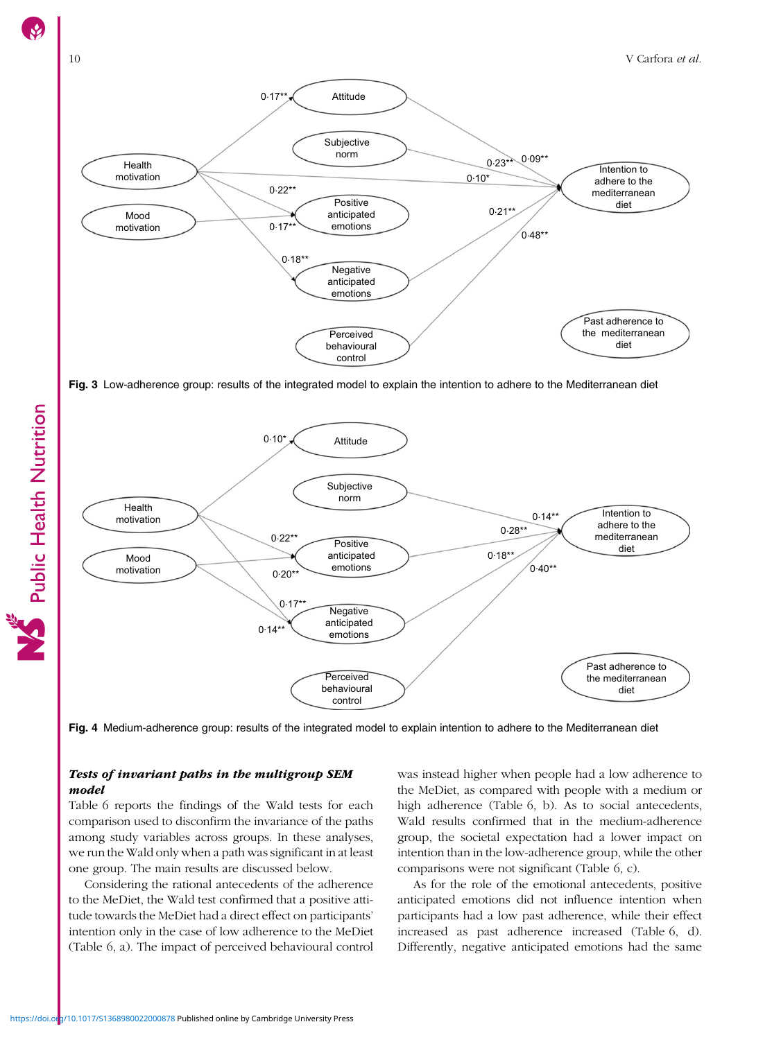<span id="page-9-0"></span>

Fig. 3 Low-adherence group: results of the integrated model to explain the intention to adhere to the Mediterranean diet



Fig. 4 Medium-adherence group: results of the integrated model to explain intention to adhere to the Mediterranean diet

## Tests of invariant paths in the multigroup SEM model

Table [6](#page-10-0) reports the findings of the Wald tests for each comparison used to disconfirm the invariance of the paths among study variables across groups. In these analyses, we run the Wald only when a path was significant in at least one group. The main results are discussed below.

Considering the rational antecedents of the adherence to the MeDiet, the Wald test confirmed that a positive attitude towards the MeDiet had a direct effect on participants' intention only in the case of low adherence to the MeDiet (Table [6](#page-10-0), a). The impact of perceived behavioural control was instead higher when people had a low adherence to the MeDiet, as compared with people with a medium or high adherence (Table [6,](#page-10-0) b). As to social antecedents, Wald results confirmed that in the medium-adherence group, the societal expectation had a lower impact on intention than in the low-adherence group, while the other comparisons were not significant (Table [6,](#page-10-0) c).

As for the role of the emotional antecedents, positive anticipated emotions did not influence intention when participants had a low past adherence, while their effect increased as past adherence increased (Table [6](#page-10-0), d). Differently, negative anticipated emotions had the same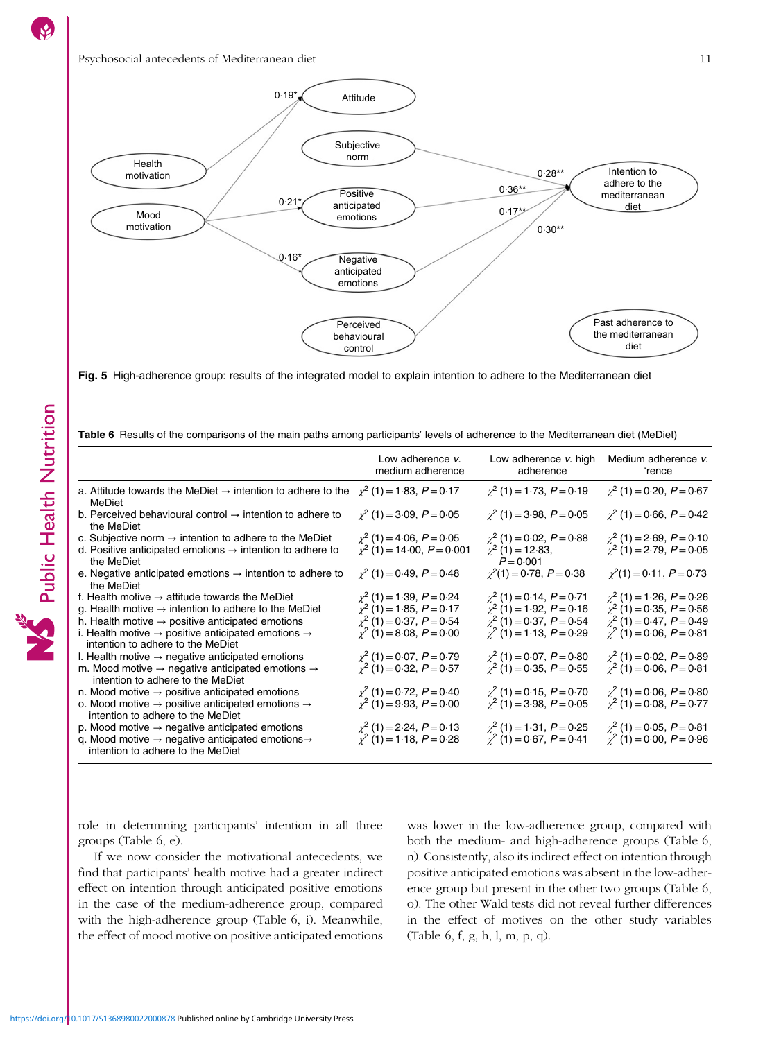<span id="page-10-0"></span>

Fig. 5 High-adherence group: results of the integrated model to explain intention to adhere to the Mediterranean diet

|  |  |  |  | Table 6 Results of the comparisons of the main paths among participants' levels of adherence to the Mediterranean diet (MeDiet) |  |
|--|--|--|--|---------------------------------------------------------------------------------------------------------------------------------|--|
|  |  |  |  |                                                                                                                                 |  |

|                                                                                                                                                                                                                                                                                                                   | Low adherence v.<br>medium adherence                                                                                             | Low adherence v. high<br>adherence                                                                                               | Medium adherence v.<br>'rence                                                                                                    |
|-------------------------------------------------------------------------------------------------------------------------------------------------------------------------------------------------------------------------------------------------------------------------------------------------------------------|----------------------------------------------------------------------------------------------------------------------------------|----------------------------------------------------------------------------------------------------------------------------------|----------------------------------------------------------------------------------------------------------------------------------|
| a. Attitude towards the MeDiet $\rightarrow$ intention to adhere to the<br>MeDiet                                                                                                                                                                                                                                 | $\chi^2$ (1) = 1.83, P = 0.17                                                                                                    | $\chi^2$ (1) = 1.73, P = 0.19                                                                                                    | $\chi^2$ (1) = 0.20, P = 0.67                                                                                                    |
| b. Perceived behavioural control $\rightarrow$ intention to adhere to<br>the MeDiet                                                                                                                                                                                                                               | $\chi^2$ (1) = 3.09, P = 0.05                                                                                                    | $\chi^2$ (1) = 3.98, P = 0.05                                                                                                    | $\chi^2$ (1) = 0.66, P = 0.42                                                                                                    |
| c. Subjective norm $\rightarrow$ intention to adhere to the MeDiet<br>d. Positive anticipated emotions $\rightarrow$ intention to adhere to<br>the MeDiet                                                                                                                                                         | $\chi^2$ (1) = 4.06, P = 0.05<br>$\chi^2$ (1) = 14.00, P = 0.001                                                                 | $\chi^2$ (1) = 0.02, P = 0.88<br>$\chi^2$ (1) = 12.83,<br>$P = 0.001$                                                            | $\chi^2$ (1) = 2.69, P = 0.10<br>$\chi^2$ (1) = 2.79, P = 0.05                                                                   |
| e. Negative anticipated emotions $\rightarrow$ intention to adhere to<br>the MeDiet                                                                                                                                                                                                                               | $\chi^2$ (1) = 0.49, P = 0.48                                                                                                    | $\chi^2(1) = 0.78, P = 0.38$                                                                                                     | $\chi^2(1) = 0.11, P = 0.73$                                                                                                     |
| f. Health motive $\rightarrow$ attitude towards the MeDiet<br>g. Health motive $\rightarrow$ intention to adhere to the MeDiet<br>h. Health motive $\rightarrow$ positive anticipated emotions<br>i. Health motive $\rightarrow$ positive anticipated emotions $\rightarrow$<br>intention to adhere to the MeDiet | $\chi^2$ (1) = 1.39, P = 0.24<br>$\chi^2$ (1) = 1.85, P = 0.17<br>$\chi^2$ (1) = 0.37, P = 0.54<br>$\chi^2$ (1) = 8.08, P = 0.00 | $\chi^2$ (1) = 0.14, P = 0.71<br>$\chi^2$ (1) = 1.92, P = 0.16<br>$\chi^2$ (1) = 0.37, P = 0.54<br>$\chi^2$ (1) = 1.13, P = 0.29 | $\chi^2$ (1) = 1.26, P = 0.26<br>$\chi^2$ (1) = 0.35, P = 0.56<br>$\chi^2$ (1) = 0.47, P = 0.49<br>$\chi^2$ (1) = 0.06, P = 0.81 |
| I. Health motive $\rightarrow$ negative anticipated emotions<br>m. Mood motive $\rightarrow$ negative anticipated emotions $\rightarrow$<br>intention to adhere to the MeDiet                                                                                                                                     | $\chi^2$ (1) = 0.07, P = 0.79<br>$\chi^2$ (1) = 0.32, P = 0.57                                                                   | $\chi^2$ (1) = 0.07, P = 0.80<br>$\chi^2$ (1) = 0.35, P = 0.55                                                                   | $\chi^2$ (1) = 0.02, P = 0.89<br>$\chi^2$ (1) = 0.06, P = 0.81                                                                   |
| n. Mood motive $\rightarrow$ positive anticipated emotions<br>o. Mood motive $\rightarrow$ positive anticipated emotions $\rightarrow$<br>intention to adhere to the MeDiet                                                                                                                                       | $\chi^2$ (1) = 0.72, P = 0.40<br>$\chi^2$ (1) = 9.93, P = 0.00                                                                   | $\chi^2(1) = 0.15, P = 0.70$<br>$\chi^2$ (1) = 3.98, P = 0.05                                                                    | $\chi^2$ (1) = 0.06, P = 0.80<br>$\chi^2$ (1) = 0.08, P = 0.77                                                                   |
| p. Mood motive $\rightarrow$ negative anticipated emotions<br>q. Mood motive $\rightarrow$ negative anticipated emotions $\rightarrow$<br>intention to adhere to the MeDiet                                                                                                                                       | $\chi^2$ (1) = 2.24, P = 0.13<br>$\chi^2$ (1) = 1.18, P = 0.28                                                                   | $\chi^2$ (1) = 1.31, P = 0.25<br>$\chi^2$ (1) = 0.67, P = 0.41                                                                   | $\chi^2$ (1) = 0.05, P = 0.81<br>$\chi^2$ (1) = 0.00, P = 0.96                                                                   |

role in determining participants' intention in all three groups (Table 6, e).

If we now consider the motivational antecedents, we find that participants' health motive had a greater indirect effect on intention through anticipated positive emotions in the case of the medium-adherence group, compared with the high-adherence group (Table 6, i). Meanwhile, the effect of mood motive on positive anticipated emotions

was lower in the low-adherence group, compared with both the medium- and high-adherence groups (Table 6, n). Consistently, also its indirect effect on intention through positive anticipated emotions was absent in the low-adherence group but present in the other two groups (Table 6, o). The other Wald tests did not reveal further differences in the effect of motives on the other study variables (Table 6, f, g, h, l, m, p, q).

Public Health Nutrition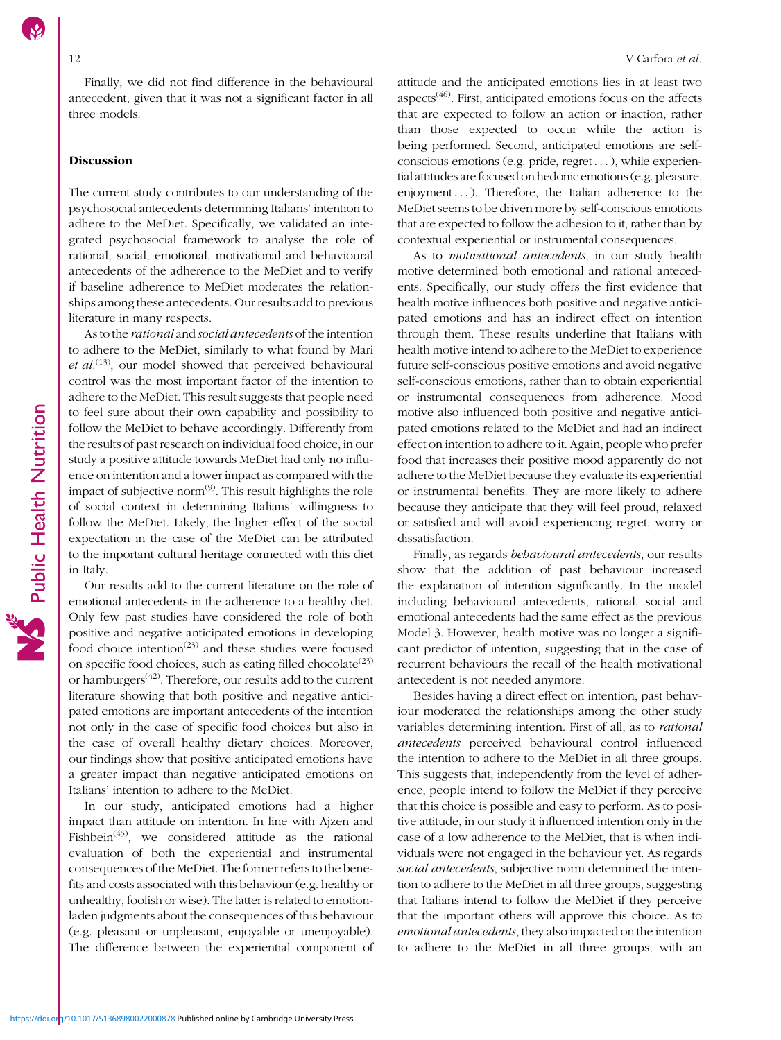Finally, we did not find difference in the behavioural antecedent, given that it was not a significant factor in all three models.

### Discussion

The current study contributes to our understanding of the psychosocial antecedents determining Italians' intention to adhere to the MeDiet. Specifically, we validated an integrated psychosocial framework to analyse the role of rational, social, emotional, motivational and behavioural antecedents of the adherence to the MeDiet and to verify if baseline adherence to MeDiet moderates the relationships among these antecedents. Our results add to previous literature in many respects.

As to the rational and social antecedents of the intention to adhere to the MeDiet, similarly to what found by Mari et  $al^{(13)}$  $al^{(13)}$  $al^{(13)}$ , our model showed that perceived behavioural control was the most important factor of the intention to adhere to the MeDiet. This result suggests that people need to feel sure about their own capability and possibility to follow the MeDiet to behave accordingly. Differently from the results of past research on individual food choice, in our study a positive attitude towards MeDiet had only no influence on intention and a lower impact as compared with the impact of subjective norm $^{(9)}$  $^{(9)}$  $^{(9)}$ . This result highlights the role of social context in determining Italians' willingness to follow the MeDiet. Likely, the higher effect of the social expectation in the case of the MeDiet can be attributed to the important cultural heritage connected with this diet in Italy.

Our results add to the current literature on the role of emotional antecedents in the adherence to a healthy diet. Only few past studies have considered the role of both positive and negative anticipated emotions in developing food choice intention<sup>([23](#page-14-0))</sup> and these studies were focused on specific food choices, such as eating filled chocolate<sup> $(23)$  $(23)$  $(23)$ </sup> or hamburgers[\(42\)](#page-14-0). Therefore, our results add to the current literature showing that both positive and negative anticipated emotions are important antecedents of the intention not only in the case of specific food choices but also in the case of overall healthy dietary choices. Moreover, our findings show that positive anticipated emotions have a greater impact than negative anticipated emotions on Italians' intention to adhere to the MeDiet.

In our study, anticipated emotions had a higher impact than attitude on intention. In line with Ajzen and Fishbein<sup> $(45)$  $(45)$  $(45)$ </sup>, we considered attitude as the rational evaluation of both the experiential and instrumental consequences of the MeDiet. The former refers to the benefits and costs associated with this behaviour (e.g. healthy or unhealthy, foolish or wise). The latter is related to emotionladen judgments about the consequences of this behaviour (e.g. pleasant or unpleasant, enjoyable or unenjoyable). The difference between the experiential component of attitude and the anticipated emotions lies in at least two aspects $(46)$  $(46)$  $(46)$ . First, anticipated emotions focus on the affects that are expected to follow an action or inaction, rather than those expected to occur while the action is being performed. Second, anticipated emotions are selfconscious emotions (e.g. pride, regret ...), while experiential attitudes are focused on hedonic emotions (e.g. pleasure, enjoyment ... ). Therefore, the Italian adherence to the MeDiet seems to be driven more by self-conscious emotions that are expected to follow the adhesion to it, rather than by contextual experiential or instrumental consequences.

As to *motivational antecedents*, in our study health motive determined both emotional and rational antecedents. Specifically, our study offers the first evidence that health motive influences both positive and negative anticipated emotions and has an indirect effect on intention through them. These results underline that Italians with health motive intend to adhere to the MeDiet to experience future self-conscious positive emotions and avoid negative self-conscious emotions, rather than to obtain experiential or instrumental consequences from adherence. Mood motive also influenced both positive and negative anticipated emotions related to the MeDiet and had an indirect effect on intention to adhere to it. Again, people who prefer food that increases their positive mood apparently do not adhere to the MeDiet because they evaluate its experiential or instrumental benefits. They are more likely to adhere because they anticipate that they will feel proud, relaxed or satisfied and will avoid experiencing regret, worry or dissatisfaction.

Finally, as regards behavioural antecedents, our results show that the addition of past behaviour increased the explanation of intention significantly. In the model including behavioural antecedents, rational, social and emotional antecedents had the same effect as the previous Model 3. However, health motive was no longer a significant predictor of intention, suggesting that in the case of recurrent behaviours the recall of the health motivational antecedent is not needed anymore.

Besides having a direct effect on intention, past behaviour moderated the relationships among the other study variables determining intention. First of all, as to rational antecedents perceived behavioural control influenced the intention to adhere to the MeDiet in all three groups. This suggests that, independently from the level of adherence, people intend to follow the MeDiet if they perceive that this choice is possible and easy to perform. As to positive attitude, in our study it influenced intention only in the case of a low adherence to the MeDiet, that is when individuals were not engaged in the behaviour yet. As regards social antecedents, subjective norm determined the intention to adhere to the MeDiet in all three groups, suggesting that Italians intend to follow the MeDiet if they perceive that the important others will approve this choice. As to emotional antecedents, they also impacted on the intention to adhere to the MeDiet in all three groups, with an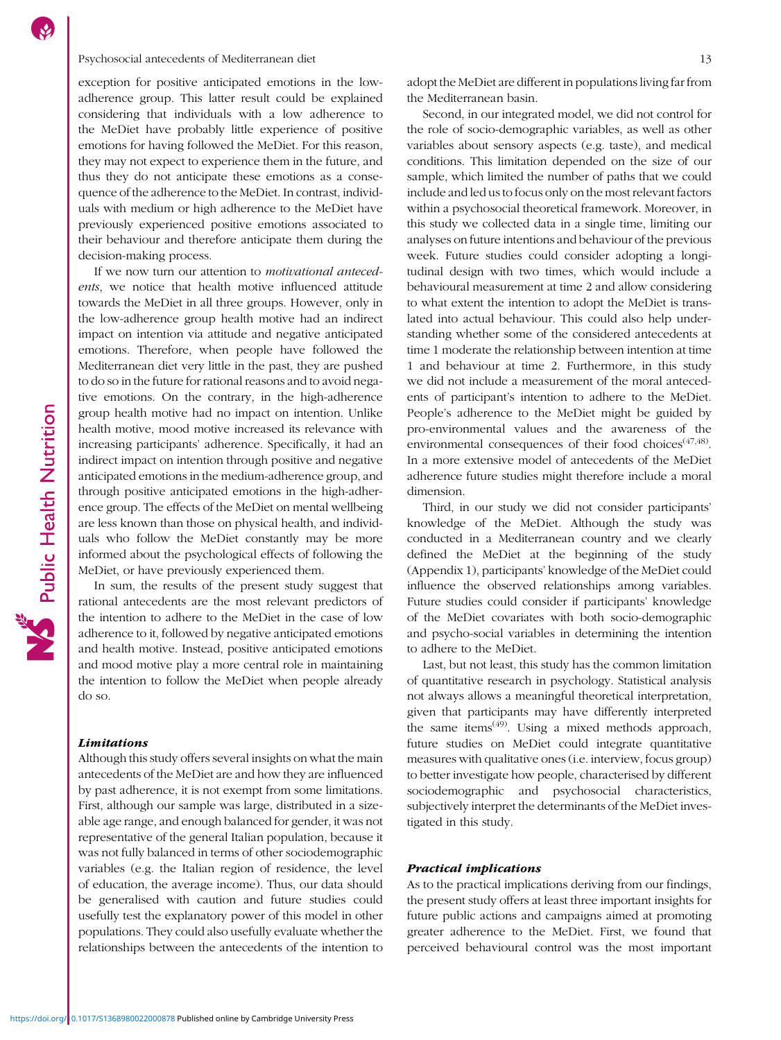### Psychosocial antecedents of Mediterranean diet 13

exception for positive anticipated emotions in the lowadherence group. This latter result could be explained considering that individuals with a low adherence to the MeDiet have probably little experience of positive emotions for having followed the MeDiet. For this reason, they may not expect to experience them in the future, and thus they do not anticipate these emotions as a consequence of the adherence to the MeDiet. In contrast, individuals with medium or high adherence to the MeDiet have previously experienced positive emotions associated to their behaviour and therefore anticipate them during the decision-making process.

If we now turn our attention to motivational antecedents, we notice that health motive influenced attitude towards the MeDiet in all three groups. However, only in the low-adherence group health motive had an indirect impact on intention via attitude and negative anticipated emotions. Therefore, when people have followed the Mediterranean diet very little in the past, they are pushed to do so in the future for rational reasons and to avoid negative emotions. On the contrary, in the high-adherence group health motive had no impact on intention. Unlike health motive, mood motive increased its relevance with increasing participants' adherence. Specifically, it had an indirect impact on intention through positive and negative anticipated emotions in the medium-adherence group, and through positive anticipated emotions in the high-adherence group. The effects of the MeDiet on mental wellbeing are less known than those on physical health, and individuals who follow the MeDiet constantly may be more informed about the psychological effects of following the MeDiet, or have previously experienced them.

In sum, the results of the present study suggest that rational antecedents are the most relevant predictors of the intention to adhere to the MeDiet in the case of low adherence to it, followed by negative anticipated emotions and health motive. Instead, positive anticipated emotions and mood motive play a more central role in maintaining the intention to follow the MeDiet when people already do so.

### Limitations

Although this study offers several insights on what the main antecedents of the MeDiet are and how they are influenced by past adherence, it is not exempt from some limitations. First, although our sample was large, distributed in a sizeable age range, and enough balanced for gender, it was not representative of the general Italian population, because it was not fully balanced in terms of other sociodemographic variables (e.g. the Italian region of residence, the level of education, the average income). Thus, our data should be generalised with caution and future studies could usefully test the explanatory power of this model in other populations. They could also usefully evaluate whether the relationships between the antecedents of the intention to adopt the MeDiet are different in populations living far from the Mediterranean basin.

Second, in our integrated model, we did not control for the role of socio-demographic variables, as well as other variables about sensory aspects (e.g. taste), and medical conditions. This limitation depended on the size of our sample, which limited the number of paths that we could include and led us to focus only on the most relevant factors within a psychosocial theoretical framework. Moreover, in this study we collected data in a single time, limiting our analyses on future intentions and behaviour of the previous week. Future studies could consider adopting a longitudinal design with two times, which would include a behavioural measurement at time 2 and allow considering to what extent the intention to adopt the MeDiet is translated into actual behaviour. This could also help understanding whether some of the considered antecedents at time 1 moderate the relationship between intention at time 1 and behaviour at time 2. Furthermore, in this study we did not include a measurement of the moral antecedents of participant's intention to adhere to the MeDiet. People's adherence to the MeDiet might be guided by pro-environmental values and the awareness of the environmental consequences of their food choices<sup>[\(47,48](#page-14-0))</sup>. In a more extensive model of antecedents of the MeDiet adherence future studies might therefore include a moral dimension.

Third, in our study we did not consider participants' knowledge of the MeDiet. Although the study was conducted in a Mediterranean country and we clearly defined the MeDiet at the beginning of the study (Appendix 1), participants' knowledge of the MeDiet could influence the observed relationships among variables. Future studies could consider if participants' knowledge of the MeDiet covariates with both socio-demographic and psycho-social variables in determining the intention to adhere to the MeDiet.

Last, but not least, this study has the common limitation of quantitative research in psychology. Statistical analysis not always allows a meaningful theoretical interpretation, given that participants may have differently interpreted the same items<sup> $(49)$  $(49)$ </sup>. Using a mixed methods approach, future studies on MeDiet could integrate quantitative measures with qualitative ones (i.e. interview, focus group) to better investigate how people, characterised by different sociodemographic and psychosocial characteristics, subjectively interpret the determinants of the MeDiet investigated in this study.

### Practical implications

As to the practical implications deriving from our findings, the present study offers at least three important insights for future public actions and campaigns aimed at promoting greater adherence to the MeDiet. First, we found that perceived behavioural control was the most important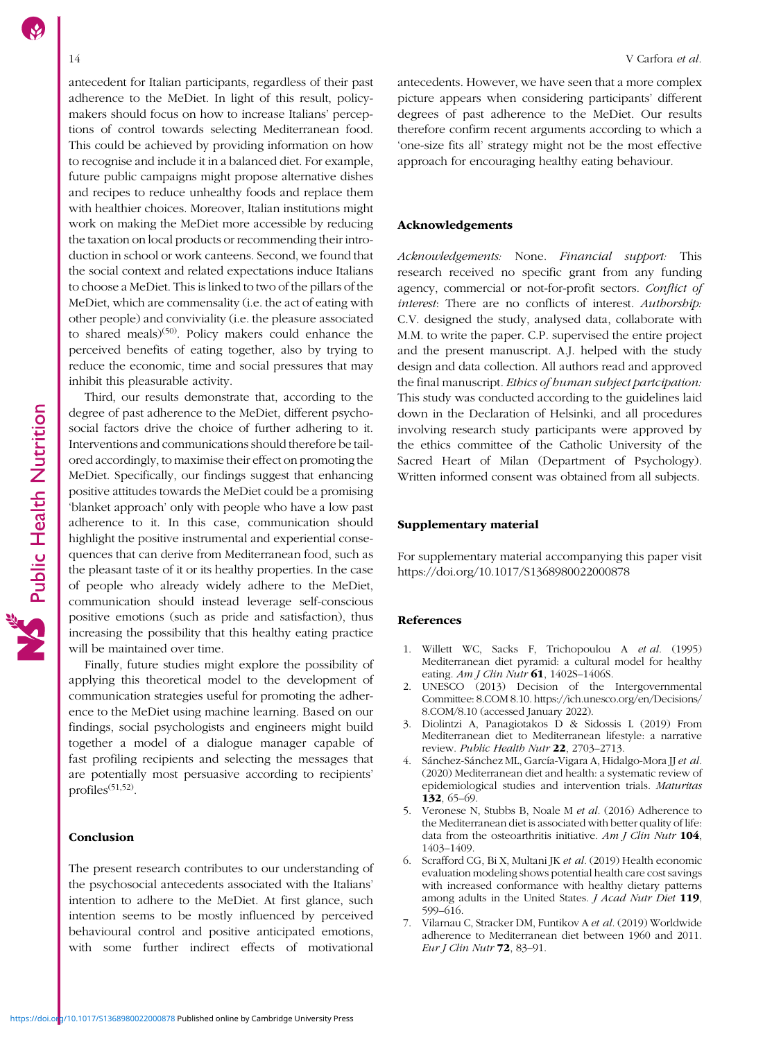<span id="page-13-0"></span>antecedent for Italian participants, regardless of their past adherence to the MeDiet. In light of this result, policymakers should focus on how to increase Italians' perceptions of control towards selecting Mediterranean food. This could be achieved by providing information on how to recognise and include it in a balanced diet. For example, future public campaigns might propose alternative dishes and recipes to reduce unhealthy foods and replace them with healthier choices. Moreover, Italian institutions might work on making the MeDiet more accessible by reducing the taxation on local products or recommending their introduction in school or work canteens. Second, we found that the social context and related expectations induce Italians to choose a MeDiet. This is linked to two of the pillars of the MeDiet, which are commensality (i.e. the act of eating with other people) and conviviality (i.e. the pleasure associated to shared meals) $(50)$  $(50)$ . Policy makers could enhance the perceived benefits of eating together, also by trying to reduce the economic, time and social pressures that may inhibit this pleasurable activity.

Third, our results demonstrate that, according to the degree of past adherence to the MeDiet, different psychosocial factors drive the choice of further adhering to it. Interventions and communications should therefore be tailored accordingly, to maximise their effect on promoting the MeDiet. Specifically, our findings suggest that enhancing positive attitudes towards the MeDiet could be a promising 'blanket approach' only with people who have a low past adherence to it. In this case, communication should highlight the positive instrumental and experiential consequences that can derive from Mediterranean food, such as the pleasant taste of it or its healthy properties. In the case of people who already widely adhere to the MeDiet, communication should instead leverage self-conscious positive emotions (such as pride and satisfaction), thus increasing the possibility that this healthy eating practice will be maintained over time.

Finally, future studies might explore the possibility of applying this theoretical model to the development of communication strategies useful for promoting the adherence to the MeDiet using machine learning. Based on our findings, social psychologists and engineers might build together a model of a dialogue manager capable of fast profiling recipients and selecting the messages that are potentially most persuasive according to recipients' profiles<sup>([51,52\)](#page-15-0)</sup>.

### Conclusion

The present research contributes to our understanding of the psychosocial antecedents associated with the Italians' intention to adhere to the MeDiet. At first glance, such intention seems to be mostly influenced by perceived behavioural control and positive anticipated emotions, with some further indirect effects of motivational antecedents. However, we have seen that a more complex picture appears when considering participants' different degrees of past adherence to the MeDiet. Our results therefore confirm recent arguments according to which a 'one-size fits all' strategy might not be the most effective approach for encouraging healthy eating behaviour.

### Acknowledgements

Acknowledgements: None. Financial support: This research received no specific grant from any funding agency, commercial or not-for-profit sectors. Conflict of interest: There are no conflicts of interest. Authorship: C.V. designed the study, analysed data, collaborate with M.M. to write the paper. C.P. supervised the entire project and the present manuscript. A.J. helped with the study design and data collection. All authors read and approved the final manuscript. Ethics of human subject partcipation: This study was conducted according to the guidelines laid down in the Declaration of Helsinki, and all procedures involving research study participants were approved by the ethics committee of the Catholic University of the Sacred Heart of Milan (Department of Psychology). Written informed consent was obtained from all subjects.

### Supplementary material

For supplementary material accompanying this paper visit <https://doi.org/10.1017/S1368980022000878>

### References

- 1. Willett WC, Sacks F, Trichopoulou A et al. (1995) Mediterranean diet pyramid: a cultural model for healthy eating.  $Am J Clin Nutr$  61, 1402S-1406S.
- 2. UNESCO (2013) Decision of the Intergovernmental Committee: 8.COM 8.10. [https://ich.unesco.org/en/Decisions/](https://ich.unesco.org/en/Decisions/8.COM/8.10) [8.COM/8.10](https://ich.unesco.org/en/Decisions/8.COM/8.10) (accessed January 2022).
- 3. Diolintzi A, Panagiotakos D & Sidossis L (2019) From Mediterranean diet to Mediterranean lifestyle: a narrative review. Public Health Nutr 22, 2703-2713.
- Sánchez-Sánchez ML, García-Vigara A, Hidalgo-Mora JJ et al. (2020) Mediterranean diet and health: a systematic review of epidemiological studies and intervention trials. Maturitas 132, 65–69.
- Veronese N, Stubbs B, Noale M et al. (2016) Adherence to the Mediterranean diet is associated with better quality of life: data from the osteoarthritis initiative. Am J Clin Nutr  $104$ , 1403–1409.
- 6. Scrafford CG, Bi X, Multani JK et al. (2019) Health economic evaluation modeling shows potential health care cost savings with increased conformance with healthy dietary patterns among adults in the United States. J Acad Nutr Diet 119, 599–616.
- 7. Vilarnau C, Stracker DM, Funtikov A et al. (2019) Worldwide adherence to Mediterranean diet between 1960 and 2011. Eur J Clin Nutr 72, 83–91.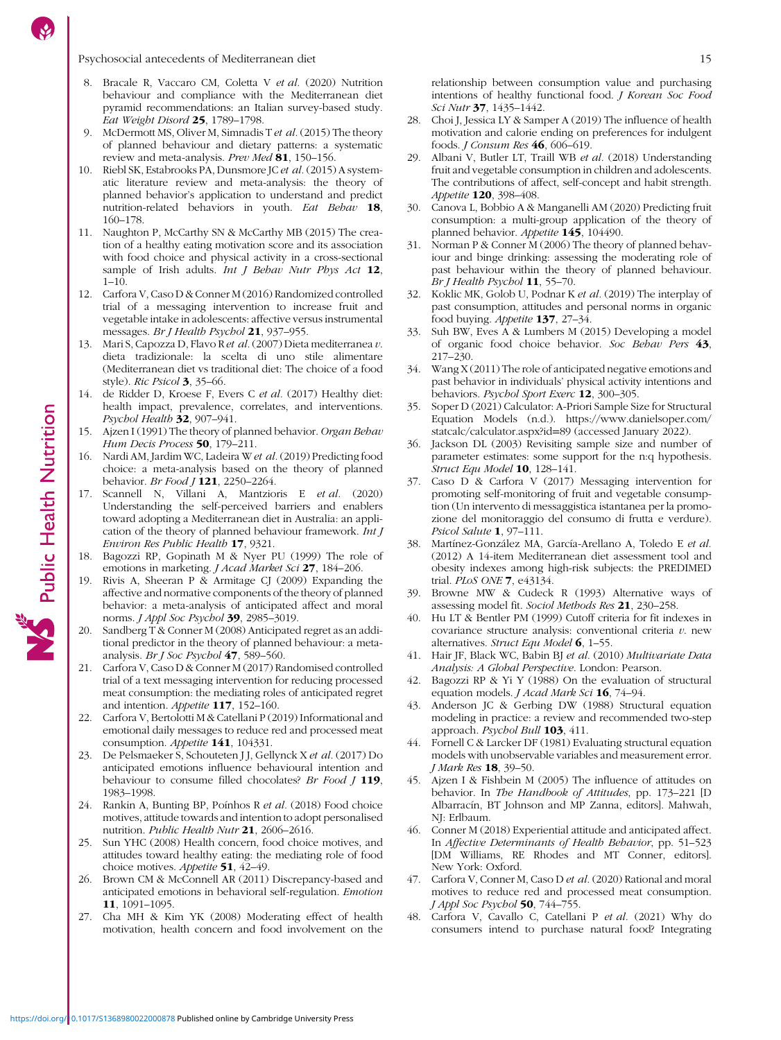- <span id="page-14-0"></span>8. Bracale R, Vaccaro CM, Coletta V et al. (2020) Nutrition behaviour and compliance with the Mediterranean diet pyramid recommendations: an Italian survey-based study. Eat Weight Disord 25, 1789–1798.
- 9. McDermott MS, Oliver M, Simnadis T et al. (2015) The theory of planned behaviour and dietary patterns: a systematic review and meta-analysis. Prev Med 81, 150-156.
- 10. Riebl SK, Estabrooks PA, Dunsmore JC et al.(2015) A systematic literature review and meta-analysis: the theory of planned behavior's application to understand and predict nutrition-related behaviors in youth. Eat Behav 18, 160–178.
- 11. Naughton P, McCarthy SN & McCarthy MB (2015) The creation of a healthy eating motivation score and its association with food choice and physical activity in a cross-sectional sample of Irish adults. Int J Behav Nutr Phys Act 12,  $1-10.$
- 12. Carfora V, Caso D & Conner M (2016) Randomized controlled trial of a messaging intervention to increase fruit and vegetable intake in adolescents: affective versus instrumental messages. Br J Health Psychol 21, 937-955.
- 13. Mari S, Capozza D, Flavo R et al. (2007) Dieta mediterranea v. dieta tradizionale: la scelta di uno stile alimentare (Mediterranean diet vs traditional diet: The choice of a food style). Ric Psicol 3, 35–66.
- 14. de Ridder D, Kroese F, Evers C et al. (2017) Healthy diet: health impact, prevalence, correlates, and interventions. Psychol Health 32, 907-941.
- 15. Ajzen I (1991) The theory of planned behavior. Organ Behav Hum Decis Process 50, 179-211.
- 16. Nardi AM, Jardim WC, Ladeira W et al. (2019) Predicting food choice: a meta-analysis based on the theory of planned behavior. Br Food 1 121, 2250-2264.
- 17. Scannell N, Villani A, Mantzioris E et al. (2020) Understanding the self-perceived barriers and enablers toward adopting a Mediterranean diet in Australia: an application of the theory of planned behaviour framework. Int J Environ Res Public Health 17, 9321.
- 18. Bagozzi RP, Gopinath M & Nyer PU (1999) The role of emotions in marketing. J Acad Market Sci 27, 184–206.
- 19. Rivis A, Sheeran P & Armitage CJ (2009) Expanding the affective and normative components of the theory of planned behavior: a meta-analysis of anticipated affect and moral norms. J Appl Soc Psychol 39, 2985–3019.
- 20. Sandberg T & Conner M (2008) Anticipated regret as an additional predictor in the theory of planned behaviour: a metaanalysis. Br J Soc Psychol  $47, 589-560$ .
- 21. Carfora V, Caso D & Conner M (2017) Randomised controlled trial of a text messaging intervention for reducing processed meat consumption: the mediating roles of anticipated regret and intention. Appetite 117, 152–160.
- 22. Carfora V, Bertolotti M & Catellani P (2019) Informational and emotional daily messages to reduce red and processed meat consumption. Appetite 141, 104331.
- 23. De Pelsmaeker S, Schouteten J J, Gellynck X et al. (2017) Do anticipated emotions influence behavioural intention and behaviour to consume filled chocolates? Br Food J 119, 1983–1998.
- 24. Rankin A, Bunting BP, Poínhos R et al. (2018) Food choice motives, attitude towards and intention to adopt personalised nutrition. Public Health Nutr 21, 2606–2616.
- Sun YHC (2008) Health concern, food choice motives, and attitudes toward healthy eating: the mediating role of food choice motives. Appetite 51, 42-49.
- 26. Brown CM & McConnell AR (2011) Discrepancy-based and anticipated emotions in behavioral self-regulation. Emotion 11, 1091–1095.
- 27. Cha MH & Kim YK (2008) Moderating effect of health motivation, health concern and food involvement on the

relationship between consumption value and purchasing intentions of healthy functional food. J Korean Soc Food Sci Nutr 37, 1435-1442.

- 28. Choi J, Jessica LY & Samper A (2019) The influence of health motivation and calorie ending on preferences for indulgent foods. J Consum Res 46, 606–619.
- 29. Albani V, Butler LT, Traill WB et al. (2018) Understanding fruit and vegetable consumption in children and adolescents. The contributions of affect, self-concept and habit strength. Appetite 120, 398-408.
- 30. Canova L, Bobbio A & Manganelli AM (2020) Predicting fruit consumption: a multi-group application of the theory of planned behavior. Appetite 145, 104490.
- 31. Norman P & Conner M (2006) The theory of planned behaviour and binge drinking: assessing the moderating role of past behaviour within the theory of planned behaviour. Br J Health Psychol  $11$ , 55-70.
- 32. Koklic MK, Golob U, Podnar K et al. (2019) The interplay of past consumption, attitudes and personal norms in organic food buying. Appetite 137, 27–34.
- 33. Suh BW, Eves A & Lumbers M (2015) Developing a model of organic food choice behavior. Soc Behav Pers 43, 217–230.
- 34. Wang X (2011) The role of anticipated negative emotions and past behavior in individuals' physical activity intentions and behaviors. Psychol Sport Exerc 12, 300-305.
- 35. Soper D (2021) Calculator: A-Priori Sample Size for Structural Equation Models (n.d.). [https://www.danielsoper.com/](https://www.danielsoper.com/statcalc/calculator.aspx?id=89) [statcalc/calculator.aspx?id](https://www.danielsoper.com/statcalc/calculator.aspx?id=89)=[89](https://www.danielsoper.com/statcalc/calculator.aspx?id=89) (accessed January 2022).
- 36. Jackson DL (2003) Revisiting sample size and number of parameter estimates: some support for the n:q hypothesis. Struct Equ Model 10, 128-141.
- 37. Caso D & Carfora V (2017) Messaging intervention for promoting self-monitoring of fruit and vegetable consumption (Un intervento di messaggistica istantanea per la promozione del monitoraggio del consumo di frutta e verdure). Psicol Salute 1, 97–111.
- 38. Martínez-González MA, García-Arellano A, Toledo E et al. (2012) A 14-item Mediterranean diet assessment tool and obesity indexes among high-risk subjects: the PREDIMED trial. PLoS ONE 7, e43134.
- 39. Browne MW & Cudeck R (1993) Alternative ways of assessing model fit. Sociol Methods Res 21, 230–258.
- 40. Hu LT & Bentler PM (1999) Cutoff criteria for fit indexes in covariance structure analysis: conventional criteria  $v$ . new alternatives. Struct Equ Model 6, 1–55.
- 41. Hair JF, Black WC, Babin BJ et al. (2010) Multivariate Data Analysis: A Global Perspective. London: Pearson.
- 42. Bagozzi RP & Yi Y (1988) On the evaluation of structural equation models. *J Acad Mark Sci* 16, 74-94.
- 43. Anderson JC & Gerbing DW (1988) Structural equation modeling in practice: a review and recommended two-step approach. Psychol Bull 103, 411.
- 44. Fornell C & Larcker DF (1981) Evaluating structural equation models with unobservable variables and measurement error. J Mark Res 18, 39–50.
- 45. Ajzen I & Fishbein M (2005) The influence of attitudes on behavior. In The Handbook of Attitudes, pp. 173–221 [D Albarracín, BT Johnson and MP Zanna, editors]. Mahwah, NJ: Erlbaum.
- 46. Conner M (2018) Experiential attitude and anticipated affect. In Affective Determinants of Health Behavior, pp. 51–523 [DM Williams, RE Rhodes and MT Conner, editors]. New York: Oxford.
- 47. Carfora V, Conner M, Caso D et al. (2020) Rational and moral motives to reduce red and processed meat consumption. J Appl Soc Psychol 50, 744–755.
- 48. Carfora V, Cavallo C, Catellani P et al. (2021) Why do consumers intend to purchase natural food? Integrating